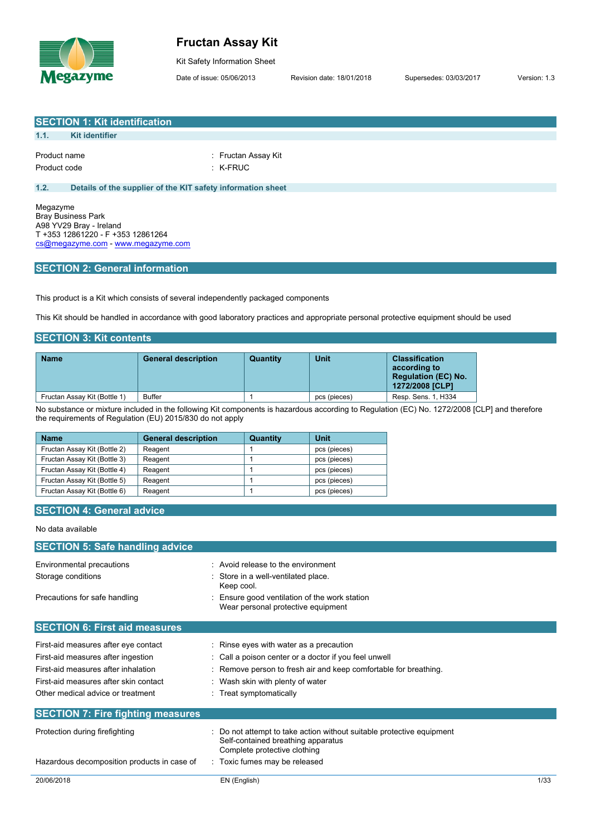

**SECTION 1: Kit identification**

# **Fructan Assay Kit**

Kit Safety Information Sheet

Date of issue: 05/06/2013 Revision date: 18/01/2018 Supersedes: 03/03/2017 Version: 1.3

| 1.1.                                                                                                                             | <b>Kit identifier</b>                                                                     |                                                                                   |                                                                |                                                                    |                                                                     |  |                                                                                                                                              |      |
|----------------------------------------------------------------------------------------------------------------------------------|-------------------------------------------------------------------------------------------|-----------------------------------------------------------------------------------|----------------------------------------------------------------|--------------------------------------------------------------------|---------------------------------------------------------------------|--|----------------------------------------------------------------------------------------------------------------------------------------------|------|
|                                                                                                                                  |                                                                                           |                                                                                   |                                                                |                                                                    |                                                                     |  |                                                                                                                                              |      |
|                                                                                                                                  | Product name<br>: Fructan Assay Kit                                                       |                                                                                   |                                                                |                                                                    |                                                                     |  |                                                                                                                                              |      |
| Product code                                                                                                                     |                                                                                           |                                                                                   | $:$ K-FRUC                                                     |                                                                    |                                                                     |  |                                                                                                                                              |      |
| 1.2.                                                                                                                             | Details of the supplier of the KIT safety information sheet                               |                                                                                   |                                                                |                                                                    |                                                                     |  |                                                                                                                                              |      |
|                                                                                                                                  |                                                                                           |                                                                                   |                                                                |                                                                    |                                                                     |  |                                                                                                                                              |      |
| Megazyme                                                                                                                         | <b>Bray Business Park</b><br>A98 YV29 Bray - Ireland<br>T +353 12861220 - F +353 12861264 |                                                                                   |                                                                |                                                                    |                                                                     |  |                                                                                                                                              |      |
|                                                                                                                                  | cs@megazyme.com - www.megazyme.com                                                        |                                                                                   |                                                                |                                                                    |                                                                     |  |                                                                                                                                              |      |
|                                                                                                                                  | <b>SECTION 2: General information</b>                                                     |                                                                                   |                                                                |                                                                    |                                                                     |  |                                                                                                                                              |      |
|                                                                                                                                  |                                                                                           | This product is a Kit which consists of several independently packaged components |                                                                |                                                                    |                                                                     |  |                                                                                                                                              |      |
|                                                                                                                                  |                                                                                           |                                                                                   |                                                                |                                                                    |                                                                     |  | This Kit should be handled in accordance with good laboratory practices and appropriate personal protective equipment should be used         |      |
|                                                                                                                                  | <b>SECTION 3: Kit contents</b>                                                            |                                                                                   |                                                                |                                                                    |                                                                     |  |                                                                                                                                              |      |
|                                                                                                                                  |                                                                                           | <b>General description</b>                                                        |                                                                |                                                                    | <b>Unit</b>                                                         |  | <b>Classification</b>                                                                                                                        |      |
| <b>Name</b>                                                                                                                      |                                                                                           |                                                                                   |                                                                | <b>Quantity</b>                                                    |                                                                     |  | according to<br><b>Regulation (EC) No.</b><br>1272/2008 [CLP]                                                                                |      |
|                                                                                                                                  | Fructan Assay Kit (Bottle 1)                                                              | <b>Buffer</b>                                                                     |                                                                | $\mathbf{1}$                                                       | pcs (pieces)                                                        |  | Resp. Sens. 1, H334                                                                                                                          |      |
|                                                                                                                                  |                                                                                           | the requirements of Regulation (EU) 2015/830 do not apply                         |                                                                |                                                                    |                                                                     |  | No substance or mixture included in the following Kit components is hazardous according to Regulation (EC) No. 1272/2008 [CLP] and therefore |      |
| <b>Name</b>                                                                                                                      |                                                                                           | <b>General description</b>                                                        |                                                                | Quantity                                                           | <b>Unit</b>                                                         |  |                                                                                                                                              |      |
|                                                                                                                                  | Fructan Assay Kit (Bottle 2)                                                              | Reagent                                                                           |                                                                | 1                                                                  | pcs (pieces)                                                        |  |                                                                                                                                              |      |
|                                                                                                                                  | Fructan Assay Kit (Bottle 3)                                                              | Reagent                                                                           |                                                                | 1                                                                  | pcs (pieces)                                                        |  |                                                                                                                                              |      |
|                                                                                                                                  | Fructan Assay Kit (Bottle 4)                                                              | Reagent                                                                           |                                                                | 1                                                                  | pcs (pieces)                                                        |  |                                                                                                                                              |      |
|                                                                                                                                  | Fructan Assay Kit (Bottle 5)                                                              | Reagent                                                                           |                                                                | 1                                                                  | pcs (pieces)                                                        |  |                                                                                                                                              |      |
|                                                                                                                                  | Fructan Assay Kit (Bottle 6)                                                              | Reagent                                                                           |                                                                | 1                                                                  | pcs (pieces)                                                        |  |                                                                                                                                              |      |
|                                                                                                                                  |                                                                                           |                                                                                   |                                                                |                                                                    |                                                                     |  |                                                                                                                                              |      |
|                                                                                                                                  | <b>SECTION 4: General advice</b>                                                          |                                                                                   |                                                                |                                                                    |                                                                     |  |                                                                                                                                              |      |
| No data available                                                                                                                |                                                                                           |                                                                                   |                                                                |                                                                    |                                                                     |  |                                                                                                                                              |      |
|                                                                                                                                  | <b>SECTION 5: Safe handling advice</b>                                                    |                                                                                   |                                                                |                                                                    |                                                                     |  |                                                                                                                                              |      |
|                                                                                                                                  | Environmental precautions                                                                 |                                                                                   |                                                                | : Avoid release to the environment                                 |                                                                     |  |                                                                                                                                              |      |
| Storage conditions                                                                                                               |                                                                                           |                                                                                   |                                                                | Store in a well-ventilated place.                                  |                                                                     |  |                                                                                                                                              |      |
| Keep cool.<br>Precautions for safe handling<br>Ensure good ventilation of the work station<br>Wear personal protective equipment |                                                                                           |                                                                                   |                                                                |                                                                    |                                                                     |  |                                                                                                                                              |      |
|                                                                                                                                  | <b>SECTION 6: First aid measures</b>                                                      |                                                                                   |                                                                |                                                                    |                                                                     |  |                                                                                                                                              |      |
|                                                                                                                                  | First-aid measures after eye contact                                                      |                                                                                   |                                                                | : Rinse eyes with water as a precaution                            |                                                                     |  |                                                                                                                                              |      |
|                                                                                                                                  | First-aid measures after ingestion                                                        |                                                                                   | Call a poison center or a doctor if you feel unwell            |                                                                    |                                                                     |  |                                                                                                                                              |      |
|                                                                                                                                  | First-aid measures after inhalation                                                       |                                                                                   |                                                                |                                                                    |                                                                     |  |                                                                                                                                              |      |
|                                                                                                                                  |                                                                                           |                                                                                   | Remove person to fresh air and keep comfortable for breathing. |                                                                    |                                                                     |  |                                                                                                                                              |      |
|                                                                                                                                  | First-aid measures after skin contact                                                     |                                                                                   |                                                                | Wash skin with plenty of water                                     |                                                                     |  |                                                                                                                                              |      |
| Other medical advice or treatment                                                                                                |                                                                                           |                                                                                   |                                                                | : Treat symptomatically                                            |                                                                     |  |                                                                                                                                              |      |
|                                                                                                                                  | <b>SECTION 7: Fire fighting measures</b>                                                  |                                                                                   |                                                                |                                                                    |                                                                     |  |                                                                                                                                              |      |
|                                                                                                                                  | Protection during firefighting                                                            |                                                                                   |                                                                | Self-contained breathing apparatus<br>Complete protective clothing | Do not attempt to take action without suitable protective equipment |  |                                                                                                                                              |      |
| Hazardous decomposition products in case of                                                                                      |                                                                                           |                                                                                   | : Toxic fumes may be released                                  |                                                                    |                                                                     |  |                                                                                                                                              |      |
| 20/06/2018                                                                                                                       |                                                                                           |                                                                                   | EN (English)                                                   |                                                                    |                                                                     |  |                                                                                                                                              | 1/33 |
|                                                                                                                                  |                                                                                           |                                                                                   |                                                                |                                                                    |                                                                     |  |                                                                                                                                              |      |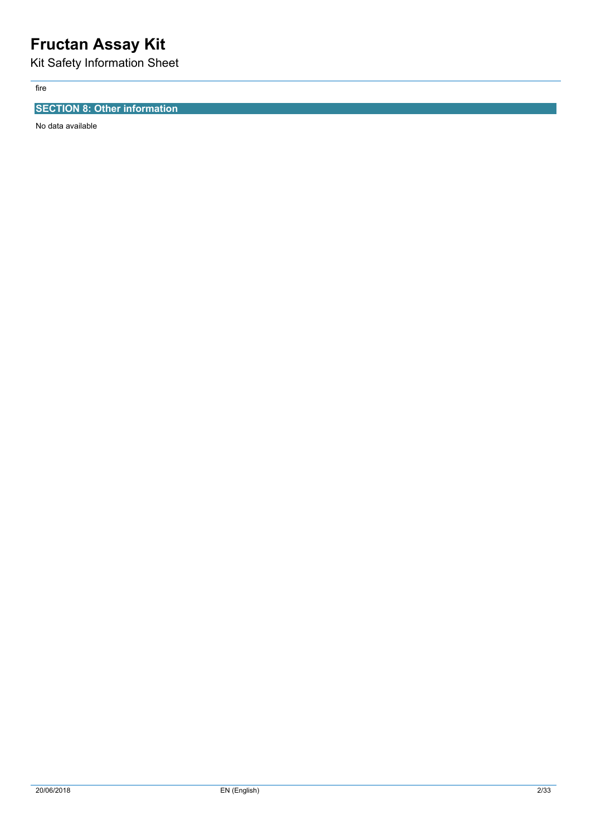# **Fructan Assay Kit**

Kit Safety Information Sheet

fire

## **SECTION 8: Other information**

No data available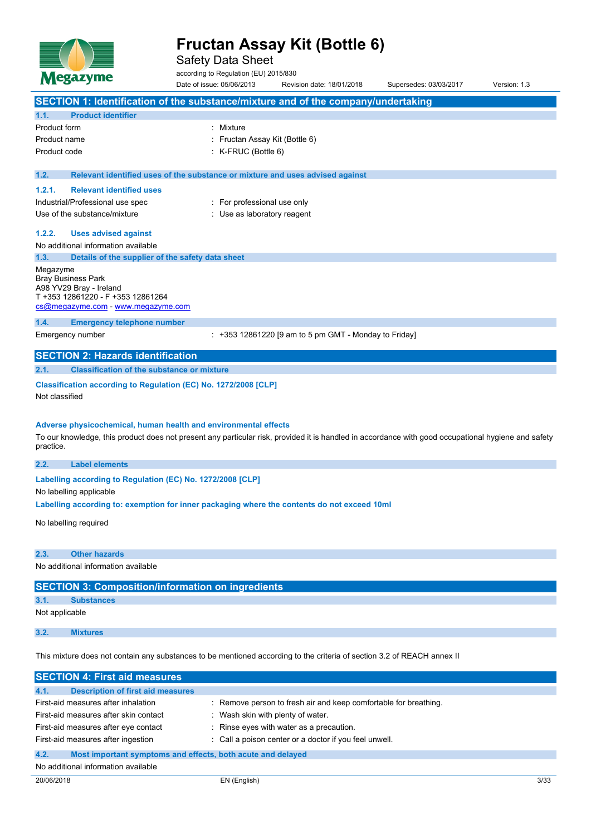

Safety Data Sheet

according to Regulation (EU) 2015/830

Date of issue: 05/06/2013 Revision date: 18/01/2018 Supersedes: 03/03/2017 Version: 1.3 **SECTION 1: Identification of the substance/mixture and of the company/undertaking 1.1. Product identifier** Product form : Nixture Product name : Fructan Assay Kit (Bottle 6) Product code : K-FRUC (Bottle 6) **1.2. Relevant identified uses of the substance or mixture and uses advised against 1.2.1. Relevant identified uses** Industrial/Professional use spec : For professional use only Use of the substance/mixture in the substance/mixture in the substance of the substance of the substance of the substance of the substance of the substance of the substance of the substance of the substance of the substanc **1.2.2. Uses advised against** No additional information available **1.3. Details of the supplier of the safety data sheet** Megazyme Bray Business Park A98 YV29 Bray - Ireland T +353 12861220 - F +353 12861264 [cs@megazyme.com](mailto:cs@megazyme.com) - <www.megazyme.com> **1.4. Emergency telephone number** Emergency number : +353 12861220 [9 am to 5 pm GMT - Monday to Friday] **SECTION 2: Hazards identification 2.1. Classification of the substance or mixture Classification according to Regulation (EC) No. 1272/2008 [CLP]** Not classified **Adverse physicochemical, human health and environmental effects** To our knowledge, this product does not present any particular risk, provided it is handled in accordance with good occupational hygiene and safety practice. **2.2. Label elements Labelling** according to Regulation (EC) No. 1272/2008 [CLP] No labelling applicable **Labelling according to: exemption for inner packaging where the contents do not exceed 10ml** No labelling required **2.3. Other hazards** No additional information available **SECTION 3: Composition/information on ingredients 3.1. Substances**

Not applicable

**3.2. Mixtures**

This mixture does not contain any substances to be mentioned according to the criteria of section 3.2 of REACH annex II

| <b>SECTION 4: First aid measures</b>                                |                                                                  |  |  |
|---------------------------------------------------------------------|------------------------------------------------------------------|--|--|
| 4.1.<br><b>Description of first aid measures</b>                    |                                                                  |  |  |
| First-aid measures after inhalation                                 | : Remove person to fresh air and keep comfortable for breathing. |  |  |
| First-aid measures after skin contact                               | Wash skin with plenty of water.                                  |  |  |
| First-aid measures after eye contact                                | : Rinse eyes with water as a precaution.                         |  |  |
| First-aid measures after ingestion                                  | : Call a poison center or a doctor if you feel unwell.           |  |  |
| 4.2.<br>Most important symptoms and effects, both acute and delayed |                                                                  |  |  |
| No additional information available                                 |                                                                  |  |  |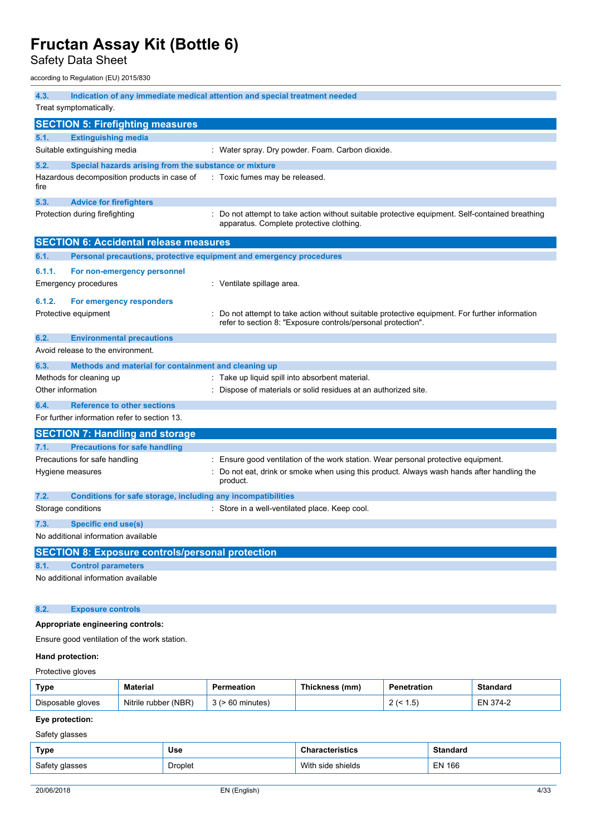Safety Data Sheet

according to Regulation (EU) 2015/830

| 4.3.              |                                                                     | Indication of any immediate medical attention and special treatment needed                                                                                   |
|-------------------|---------------------------------------------------------------------|--------------------------------------------------------------------------------------------------------------------------------------------------------------|
|                   | Treat symptomatically.                                              |                                                                                                                                                              |
|                   | <b>SECTION 5: Firefighting measures</b>                             |                                                                                                                                                              |
| 5.1.              | <b>Extinguishing media</b>                                          |                                                                                                                                                              |
|                   | Suitable extinguishing media                                        | : Water spray. Dry powder. Foam. Carbon dioxide.                                                                                                             |
| 5.2.              | Special hazards arising from the substance or mixture               |                                                                                                                                                              |
| fire              | Hazardous decomposition products in case of                         | : Toxic fumes may be released.                                                                                                                               |
| 5.3.              | <b>Advice for firefighters</b>                                      |                                                                                                                                                              |
|                   | Protection during firefighting                                      | : Do not attempt to take action without suitable protective equipment. Self-contained breathing<br>apparatus. Complete protective clothing.                  |
|                   | <b>SECTION 6: Accidental release measures</b>                       |                                                                                                                                                              |
| 6.1.              | Personal precautions, protective equipment and emergency procedures |                                                                                                                                                              |
| 6.1.1.            | For non-emergency personnel                                         |                                                                                                                                                              |
|                   | Emergency procedures                                                | : Ventilate spillage area.                                                                                                                                   |
| 6.1.2.            | For emergency responders                                            |                                                                                                                                                              |
|                   | Protective equipment                                                | Do not attempt to take action without suitable protective equipment. For further information<br>refer to section 8: "Exposure controls/personal protection". |
| 6.2.              | <b>Environmental precautions</b>                                    |                                                                                                                                                              |
|                   | Avoid release to the environment.                                   |                                                                                                                                                              |
| 6.3.              | Methods and material for containment and cleaning up                |                                                                                                                                                              |
|                   | Methods for cleaning up                                             | : Take up liquid spill into absorbent material.                                                                                                              |
| Other information |                                                                     | : Dispose of materials or solid residues at an authorized site.                                                                                              |
| 6.4.              | <b>Reference to other sections</b>                                  |                                                                                                                                                              |
|                   | For further information refer to section 13.                        |                                                                                                                                                              |
|                   | <b>SECTION 7: Handling and storage</b>                              |                                                                                                                                                              |
| 7.1.              | <b>Precautions for safe handling</b>                                |                                                                                                                                                              |
|                   | Precautions for safe handling                                       | : Ensure good ventilation of the work station. Wear personal protective equipment.                                                                           |
|                   | Hygiene measures                                                    | Do not eat, drink or smoke when using this product. Always wash hands after handling the<br>product.                                                         |
| 7.2.              | Conditions for safe storage, including any incompatibilities        |                                                                                                                                                              |
|                   | Storage conditions                                                  | : Store in a well-ventilated place. Keep cool.                                                                                                               |
| 7.3.              | Specific end use(s)                                                 |                                                                                                                                                              |
|                   | No additional information available                                 |                                                                                                                                                              |
|                   | <b>SECTION 8: Exposure controls/personal protection</b>             |                                                                                                                                                              |
| 8.1.              | <b>Control parameters</b>                                           |                                                                                                                                                              |
|                   | No additional information available                                 |                                                                                                                                                              |
| 8.2.              | <b>Exposure controls</b>                                            |                                                                                                                                                              |
|                   | Appropriate engineering controls:                                   |                                                                                                                                                              |
|                   | Ensure good ventilation of the work station.                        |                                                                                                                                                              |
| Hand protection:  |                                                                     |                                                                                                                                                              |

# Protective gloves

| Type              | <b>Material</b>      | ≅rmeation | Thickness (mm) | ation.                | Standard    |
|-------------------|----------------------|-----------|----------------|-----------------------|-------------|
| Disposable gloves | Nitrile rubber (NBR) | …nutes) … |                | 5<br>، ن.<br><u>_</u> | 374-2<br>÷N |

## **Eye protection:**

Safety glasses

| Type           | Use            | <b>Characteristics</b> | <b>Standard</b> |
|----------------|----------------|------------------------|-----------------|
| Safety glasses | <b>Droplet</b> | With side shields      | <b>EN 166</b>   |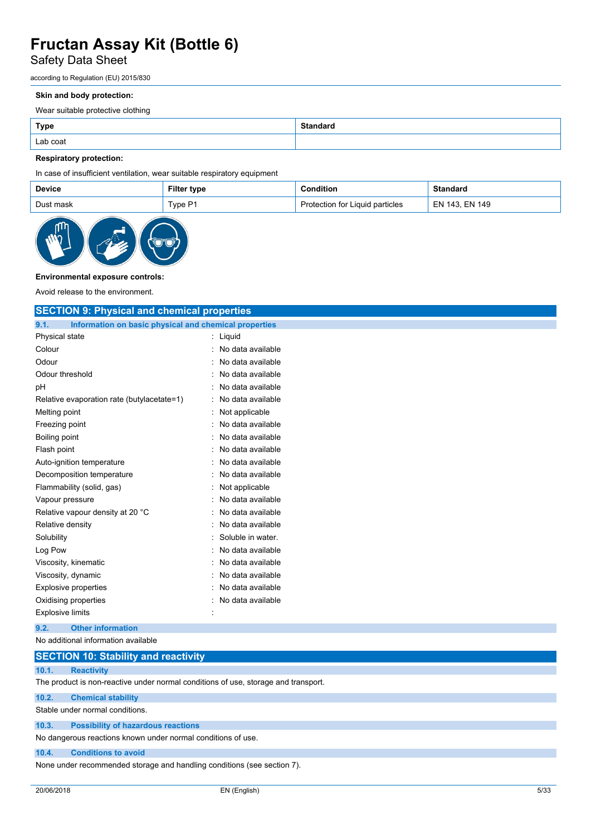## Safety Data Sheet

according to Regulation (EU) 2015/830

## **Skin and body protection:**

Wear suitable protective clothing

| <b>Type</b> | <b>Standard</b> |
|-------------|-----------------|
| Lab coat    |                 |

## **Respiratory protection:**

In case of insufficient ventilation, wear suitable respiratory equipment

| Device    | <b>Filter type</b> | condition?                      | <b>Standard</b> |
|-----------|--------------------|---------------------------------|-----------------|
| Dust mask | TypeP1             | Protection for Liquid particles | EN 143. EN 149  |



## **Environmental exposure controls:**

Avoid release to the environment.

| <b>SECTION 9: Physical and chemical properties</b>            |                   |  |  |
|---------------------------------------------------------------|-------------------|--|--|
| 9.1.<br>Information on basic physical and chemical properties |                   |  |  |
| Physical state                                                | : Liquid          |  |  |
| Colour                                                        | No data available |  |  |
| Odour                                                         | No data available |  |  |
| Odour threshold                                               | No data available |  |  |
| pH                                                            | No data available |  |  |
| Relative evaporation rate (butylacetate=1)                    | No data available |  |  |
| Melting point                                                 | Not applicable    |  |  |
| Freezing point                                                | No data available |  |  |
| Boiling point                                                 | No data available |  |  |
| Flash point                                                   | No data available |  |  |
| Auto-ignition temperature                                     | No data available |  |  |
| Decomposition temperature                                     | No data available |  |  |
| Flammability (solid, gas)                                     | Not applicable    |  |  |
| Vapour pressure                                               | No data available |  |  |
| Relative vapour density at 20 °C                              | No data available |  |  |
| Relative density                                              | No data available |  |  |
| Solubility                                                    | Soluble in water. |  |  |
| Log Pow                                                       | No data available |  |  |
| Viscosity, kinematic                                          | No data available |  |  |
| Viscosity, dynamic                                            | No data available |  |  |
| <b>Explosive properties</b>                                   | No data available |  |  |
| Oxidising properties                                          | No data available |  |  |
| <b>Explosive limits</b>                                       |                   |  |  |
| <b>Other information</b><br>9.2.                              |                   |  |  |
| No additional information available                           |                   |  |  |
| <b>SECTION 10: Stability and reactivity</b>                   |                   |  |  |

| 10.1. | <b>Reactivity</b>                                                                  |  |  |  |  |
|-------|------------------------------------------------------------------------------------|--|--|--|--|
|       | The product is non-reactive under normal conditions of use, storage and transport. |  |  |  |  |
| 10.2. | <b>Chemical stability</b>                                                          |  |  |  |  |
|       | Stable under normal conditions.                                                    |  |  |  |  |
| 10.3. | <b>Possibility of hazardous reactions</b>                                          |  |  |  |  |
|       | No dangerous reactions known under normal conditions of use.                       |  |  |  |  |
| 10.4. | <b>Conditions to avoid</b>                                                         |  |  |  |  |

None under recommended storage and handling conditions (see section 7).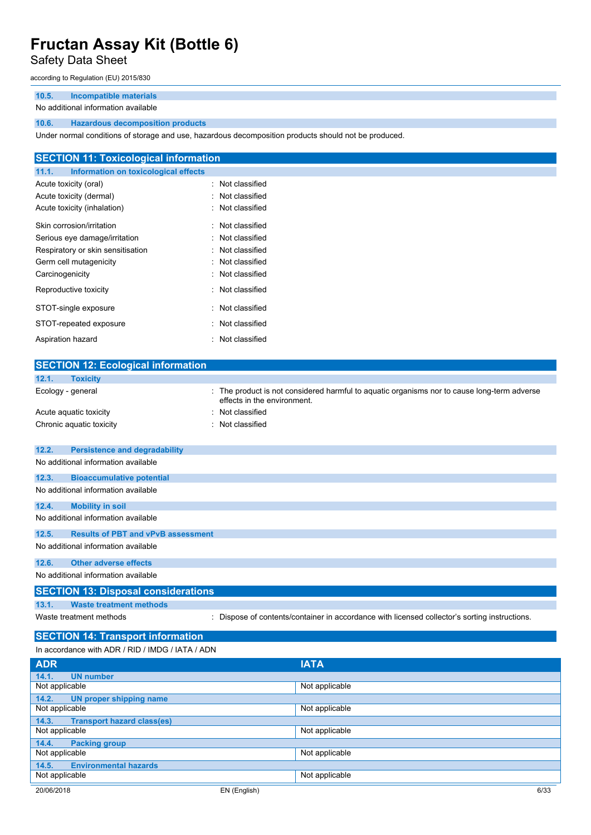## Safety Data Sheet

according to Regulation (EU) 2015/830

## **10.5. Incompatible materials**

### No additional information available

## **10.6. Hazardous decomposition products**

Under normal conditions of storage and use, hazardous decomposition products should not be produced.

| <b>SECTION 11: Toxicological information</b>  |                  |
|-----------------------------------------------|------------------|
| 11.1.<br>Information on toxicological effects |                  |
| Acute toxicity (oral)                         | : Not classified |
| Acute toxicity (dermal)                       | : Not classified |
| Acute toxicity (inhalation)                   | : Not classified |
| Skin corrosion/irritation                     | : Not classified |
| Serious eye damage/irritation                 | : Not classified |
| Respiratory or skin sensitisation             | : Not classified |
| Germ cell mutagenicity                        | : Not classified |
| Carcinogenicity                               | : Not classified |
| Reproductive toxicity                         | : Not classified |
| STOT-single exposure                          | : Not classified |
| STOT-repeated exposure                        | : Not classified |
| Aspiration hazard                             | : Not classified |

| <b>SECTION 12: Ecological information</b>          |                                                                                                                            |
|----------------------------------------------------|----------------------------------------------------------------------------------------------------------------------------|
| 12.1.<br><b>Toxicity</b>                           |                                                                                                                            |
| Ecology - general                                  | : The product is not considered harmful to aquatic organisms nor to cause long-term adverse<br>effects in the environment. |
| Acute aquatic toxicity                             | Not classified                                                                                                             |
| Chronic aquatic toxicity                           | Not classified                                                                                                             |
|                                                    |                                                                                                                            |
| 12.2.<br><b>Persistence and degradability</b>      |                                                                                                                            |
| No additional information available                |                                                                                                                            |
| 12.3.<br><b>Bioaccumulative potential</b>          |                                                                                                                            |
| No additional information available                |                                                                                                                            |
| 12.4.<br><b>Mobility in soil</b>                   |                                                                                                                            |
| No additional information available                |                                                                                                                            |
| <b>Results of PBT and vPvB assessment</b><br>12.5. |                                                                                                                            |
| No additional information available                |                                                                                                                            |
| <b>Other adverse effects</b><br>12.6.              |                                                                                                                            |
| No additional information available                |                                                                                                                            |
| <b>SECTION 13: Disposal considerations</b>         |                                                                                                                            |
| 13.1.<br><b>Waste treatment methods</b>            |                                                                                                                            |
| Waste treatment methods                            | : Dispose of contents/container in accordance with licensed collector's sorting instructions.                              |
|                                                    |                                                                                                                            |
| <b>SECTION 14: Transport information</b>           |                                                                                                                            |
| In accordance with ADR / RID / IMDG / IATA / ADN   |                                                                                                                            |
| <b>ADR</b>                                         | <b>IATA</b>                                                                                                                |
| 14.1.<br><b>UN number</b>                          |                                                                                                                            |

| .              |                                   |              | .              |      |
|----------------|-----------------------------------|--------------|----------------|------|
| 14.1.          | <b>UN number</b>                  |              |                |      |
| Not applicable |                                   |              | Not applicable |      |
| 14.2.          | UN proper shipping name           |              |                |      |
| Not applicable |                                   |              | Not applicable |      |
| 14.3.          | <b>Transport hazard class(es)</b> |              |                |      |
| Not applicable |                                   |              | Not applicable |      |
| 14.4.          | <b>Packing group</b>              |              |                |      |
| Not applicable |                                   |              | Not applicable |      |
| 14.5.          | <b>Environmental hazards</b>      |              |                |      |
| Not applicable |                                   |              | Not applicable |      |
| 20/06/2018     |                                   | EN (English) |                | 6/33 |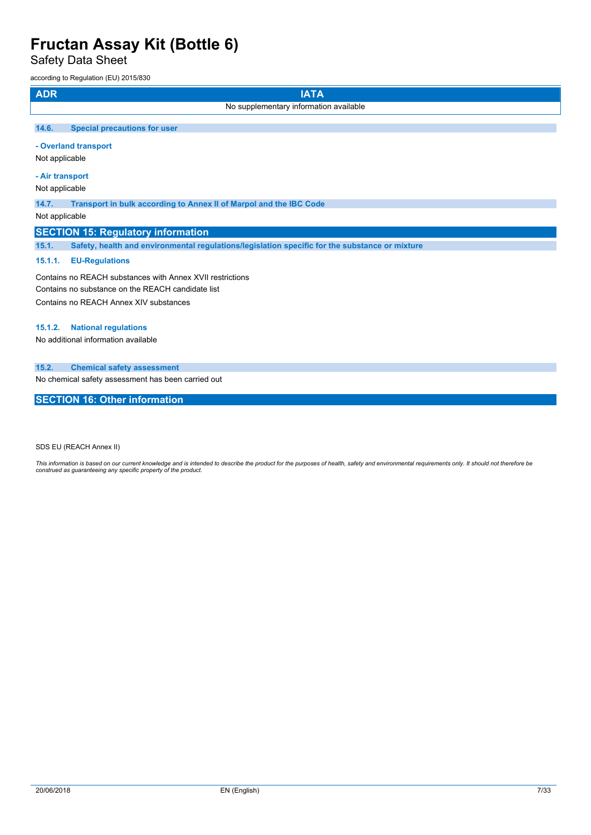Safety Data Sheet

according to Regulation (EU) 2015/830

| <b>ADR</b>        | <b>IATA</b>                                                             |  |  |  |
|-------------------|-------------------------------------------------------------------------|--|--|--|
|                   | No supplementary information available                                  |  |  |  |
| 14.6.             | <b>Special precautions for user</b>                                     |  |  |  |
|                   | - Overland transport<br>Not applicable                                  |  |  |  |
|                   | - Air transport                                                         |  |  |  |
|                   | Not applicable                                                          |  |  |  |
| 14.7.<br>$\cdots$ | Transport in bulk according to Annex II of Marpol and the IBC Code<br>. |  |  |  |

Not applicable

## **SECTION 15: Regulatory information**

**15.1. Safety, health and environmental regulations/legislation specific for the substance or mixture**

### **15.1.1. EU-Regulations**

Contains no REACH substances with Annex XVII restrictions Contains no substance on the REACH candidate list Contains no REACH Annex XIV substances

#### **15.1.2. National regulations**

No additional information available

### **15.2. Chemical safety assessment**

No chemical safety assessment has been carried out

## **SECTION 16: Other information**

SDS EU (REACH Annex II)

This information is based on our current knowledge and is intended to describe the product for the purposes of health, safety and environmental requirements only. It should not therefore be<br>construed as guaranteeing any sp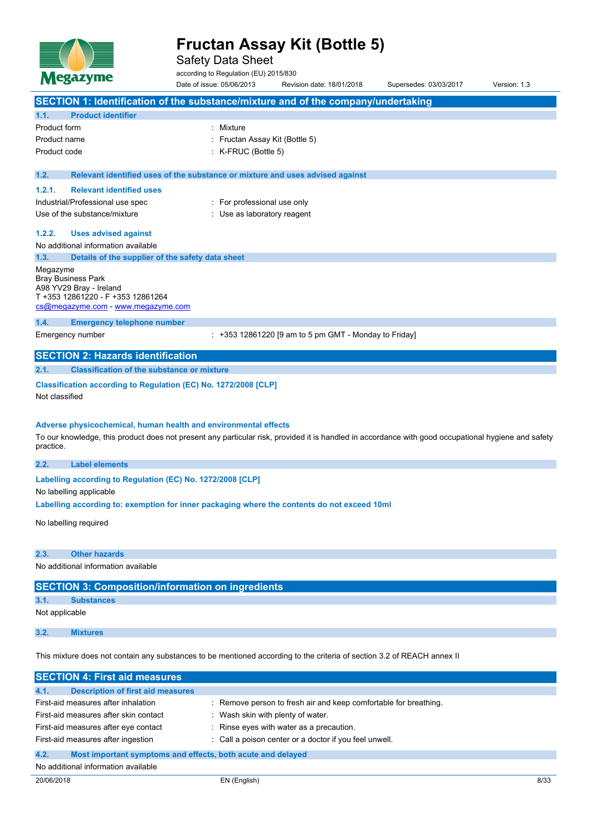

Safety Data Sheet

according to Regulation (EU) 2015/830

Date of issue: 05/06/2013 Revision date: 18/01/2018 Supersedes: 03/03/2017 Version: 1.3 **SECTION 1: Identification of the substance/mixture and of the company/undertaking 1.1. Product identifier** Product form : Nixture Product name : Fructan Assay Kit (Bottle 5) Product code : K-FRUC (Bottle 5) **1.2. Relevant identified uses of the substance or mixture and uses advised against 1.2.1. Relevant identified uses** Industrial/Professional use spec : For professional use only Use of the substance/mixture in the substance/mixture in the substance of the substance of the substance of the substance of the substance of the substance of the substance of the substance of the substance of the substanc **1.2.2. Uses advised against** No additional information available **1.3. Details of the supplier of the safety data sheet** Megazyme Bray Business Park A98 YV29 Bray - Ireland T +353 12861220 - F +353 12861264 [cs@megazyme.com](mailto:cs@megazyme.com) - <www.megazyme.com> **1.4. Emergency telephone number** Emergency number : +353 12861220 [9 am to 5 pm GMT - Monday to Friday] **SECTION 2: Hazards identification 2.1. Classification of the substance or mixture Classification according to Regulation (EC) No. 1272/2008 [CLP]** Not classified **Adverse physicochemical, human health and environmental effects** To our knowledge, this product does not present any particular risk, provided it is handled in accordance with good occupational hygiene and safety practice. **2.2. Label elements Labelling** according to Regulation (EC) No. 1272/2008 [CLP] No labelling applicable **Labelling according to: exemption for inner packaging where the contents do not exceed 10ml** No labelling required **2.3. Other hazards** No additional information available **SECTION 3: Composition/information on ingredients**

**3.1. Substances**

Not applicable

**3.2. Mixtures**

This mixture does not contain any substances to be mentioned according to the criteria of section 3.2 of REACH annex II

| <b>SECTION 4: First aid measures</b>                                |                                                                  |  |  |
|---------------------------------------------------------------------|------------------------------------------------------------------|--|--|
| <b>Description of first aid measures</b><br>4.1.                    |                                                                  |  |  |
| First-aid measures after inhalation                                 | : Remove person to fresh air and keep comfortable for breathing. |  |  |
| First-aid measures after skin contact                               | Wash skin with plenty of water.                                  |  |  |
| First-aid measures after eye contact                                | : Rinse eyes with water as a precaution.                         |  |  |
| First-aid measures after ingestion                                  | : Call a poison center or a doctor if you feel unwell.           |  |  |
| 4.2.<br>Most important symptoms and effects, both acute and delayed |                                                                  |  |  |
| No additional information available                                 |                                                                  |  |  |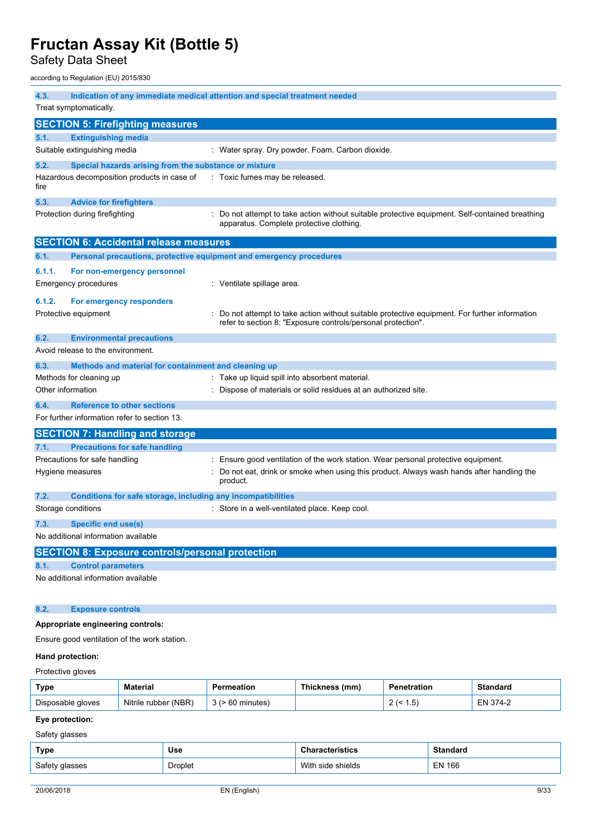Safety Data Sheet

according to Regulation (EU) 2015/830

| 4.3.                   |                                                                     | Indication of any immediate medical attention and special treatment needed                                                                                   |  |  |  |
|------------------------|---------------------------------------------------------------------|--------------------------------------------------------------------------------------------------------------------------------------------------------------|--|--|--|
| Treat symptomatically. |                                                                     |                                                                                                                                                              |  |  |  |
|                        | <b>SECTION 5: Firefighting measures</b>                             |                                                                                                                                                              |  |  |  |
| 5.1.                   | <b>Extinguishing media</b>                                          |                                                                                                                                                              |  |  |  |
|                        | Suitable extinguishing media                                        | : Water spray. Dry powder. Foam. Carbon dioxide.                                                                                                             |  |  |  |
| 5.2.                   | Special hazards arising from the substance or mixture               |                                                                                                                                                              |  |  |  |
| fire                   | Hazardous decomposition products in case of                         | : Toxic fumes may be released.                                                                                                                               |  |  |  |
| 5.3.                   | <b>Advice for firefighters</b>                                      |                                                                                                                                                              |  |  |  |
|                        | Protection during firefighting                                      | : Do not attempt to take action without suitable protective equipment. Self-contained breathing<br>apparatus. Complete protective clothing.                  |  |  |  |
|                        | <b>SECTION 6: Accidental release measures</b>                       |                                                                                                                                                              |  |  |  |
| 6.1.                   | Personal precautions, protective equipment and emergency procedures |                                                                                                                                                              |  |  |  |
| 6.1.1.                 | For non-emergency personnel                                         |                                                                                                                                                              |  |  |  |
|                        | Emergency procedures                                                | : Ventilate spillage area.                                                                                                                                   |  |  |  |
| 6.1.2.                 | For emergency responders                                            |                                                                                                                                                              |  |  |  |
|                        | Protective equipment                                                | Do not attempt to take action without suitable protective equipment. For further information<br>refer to section 8: "Exposure controls/personal protection". |  |  |  |
| 6.2.                   | <b>Environmental precautions</b>                                    |                                                                                                                                                              |  |  |  |
|                        | Avoid release to the environment.                                   |                                                                                                                                                              |  |  |  |
| 6.3.                   | Methods and material for containment and cleaning up                |                                                                                                                                                              |  |  |  |
|                        | Methods for cleaning up                                             | : Take up liquid spill into absorbent material.                                                                                                              |  |  |  |
| Other information      |                                                                     | : Dispose of materials or solid residues at an authorized site.                                                                                              |  |  |  |
| 6.4.                   | <b>Reference to other sections</b>                                  |                                                                                                                                                              |  |  |  |
|                        | For further information refer to section 13.                        |                                                                                                                                                              |  |  |  |
|                        | <b>SECTION 7: Handling and storage</b>                              |                                                                                                                                                              |  |  |  |
| 7.1.                   | <b>Precautions for safe handling</b>                                |                                                                                                                                                              |  |  |  |
|                        | Precautions for safe handling                                       | Ensure good ventilation of the work station. Wear personal protective equipment.                                                                             |  |  |  |
|                        | Hygiene measures                                                    | Do not eat, drink or smoke when using this product. Always wash hands after handling the<br>product.                                                         |  |  |  |
| 7.2.                   | Conditions for safe storage, including any incompatibilities        |                                                                                                                                                              |  |  |  |
|                        | Storage conditions                                                  | : Store in a well-ventilated place. Keep cool.                                                                                                               |  |  |  |
| 7.3.                   | Specific end use(s)                                                 |                                                                                                                                                              |  |  |  |
|                        | No additional information available                                 |                                                                                                                                                              |  |  |  |
|                        | <b>SECTION 8: Exposure controls/personal protection</b>             |                                                                                                                                                              |  |  |  |
| 8.1.                   | <b>Control parameters</b>                                           |                                                                                                                                                              |  |  |  |
|                        | No additional information available                                 |                                                                                                                                                              |  |  |  |
| 8.2.                   | <b>Exposure controls</b>                                            |                                                                                                                                                              |  |  |  |
|                        | Appropriate engineering controls:                                   |                                                                                                                                                              |  |  |  |
|                        | Ensure good ventilation of the work station.                        |                                                                                                                                                              |  |  |  |
| Hand protection:       |                                                                     |                                                                                                                                                              |  |  |  |

# Protective gloves

| Type              | <b>Material</b>         | Permeation | Thickness (mm) | <b>Penetration</b> | Standard    |
|-------------------|-------------------------|------------|----------------|--------------------|-------------|
| Disposable gloves | (NBR)<br>Nitrile rubber |            |                | ' כ. ו<br><u>_</u> | 374-2<br>⊏N |

## **Eye protection:**

Safety glasses

| Type           | Use            | <b>Characteristics</b> | <b>Standard</b> |
|----------------|----------------|------------------------|-----------------|
| Safety glasses | <b>Droplet</b> | With side shields      | <b>EN 166</b>   |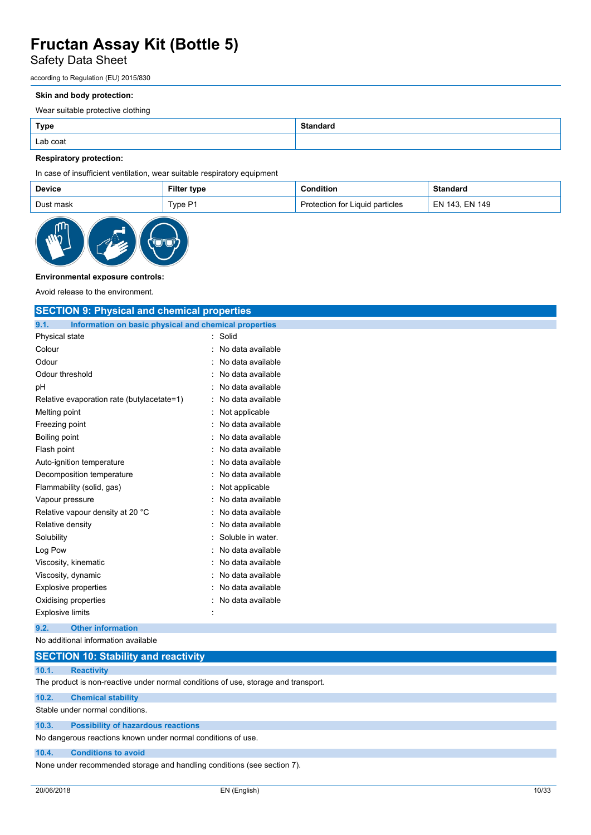## Safety Data Sheet

according to Regulation (EU) 2015/830

### **Skin and body protection:**

Wear suitable protective clothing

| <b>Type</b> | <b>Standard</b> |
|-------------|-----------------|
| Lab coat    |                 |

## **Respiratory protection:**

In case of insufficient ventilation, wear suitable respiratory equipment

| Device    | <b>Filter type</b> | condition?                      | <b>Standard</b> |
|-----------|--------------------|---------------------------------|-----------------|
| Dust mask | TypeP1             | Protection for Liquid particles | EN 143. EN 149  |



## **Environmental exposure controls:**

Avoid release to the environment.

| <b>SECTION 9: Physical and chemical properties</b>            |                        |  |  |
|---------------------------------------------------------------|------------------------|--|--|
| 9.1.<br>Information on basic physical and chemical properties |                        |  |  |
| Physical state                                                | Solid                  |  |  |
| Colour                                                        | No data available<br>۰ |  |  |
| Odour                                                         | No data available      |  |  |
| Odour threshold                                               | No data available      |  |  |
| рH                                                            | No data available      |  |  |
| Relative evaporation rate (butylacetate=1)                    | No data available      |  |  |
| Melting point                                                 | Not applicable         |  |  |
| Freezing point                                                | No data available      |  |  |
| Boiling point                                                 | No data available      |  |  |
| Flash point                                                   | No data available      |  |  |
| Auto-ignition temperature                                     | No data available      |  |  |
| Decomposition temperature                                     | No data available      |  |  |
| Flammability (solid, gas)                                     | Not applicable         |  |  |
| Vapour pressure                                               | No data available      |  |  |
| Relative vapour density at 20 °C                              | No data available      |  |  |
| Relative density                                              | No data available      |  |  |
| Solubility                                                    | Soluble in water.      |  |  |
| Log Pow                                                       | No data available<br>۰ |  |  |
| Viscosity, kinematic                                          | No data available      |  |  |
| Viscosity, dynamic                                            | No data available      |  |  |
| <b>Explosive properties</b>                                   | No data available      |  |  |
| Oxidising properties                                          | No data available      |  |  |
| <b>Explosive limits</b>                                       |                        |  |  |
| <b>Other information</b><br>9.2.                              |                        |  |  |
| No additional information available                           |                        |  |  |
| <b>SECTION 10: Stability and reactivity</b>                   |                        |  |  |

| 10.1. | <b>Reactivity</b> |
|-------|-------------------|

The product is non-reactive under normal conditions of use, storage and transport.

**10.2. Chemical stability**

Stable under normal conditions.

## **10.3. Possibility of hazardous reactions**

No dangerous reactions known under normal conditions of use.

### **10.4. Conditions to avoid**

None under recommended storage and handling conditions (see section 7).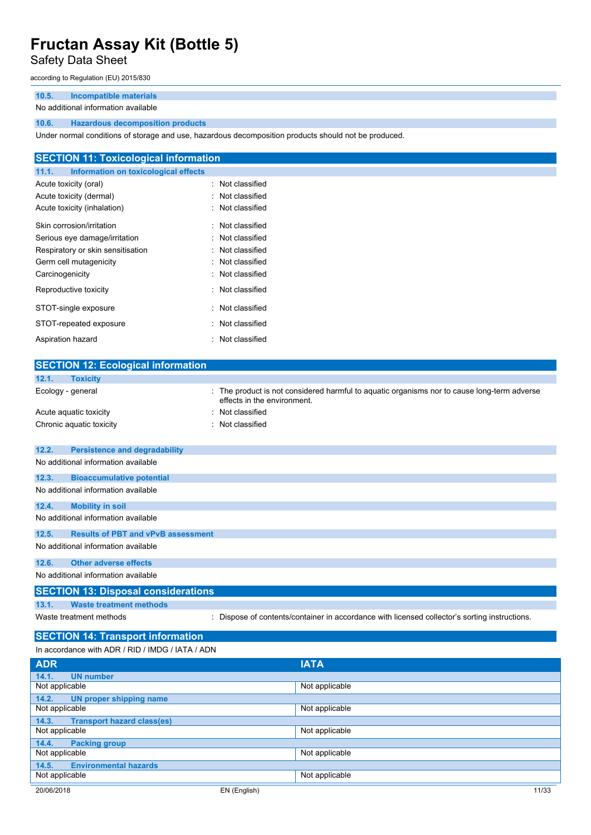## Safety Data Sheet

according to Regulation (EU) 2015/830

## **10.5. Incompatible materials**

### No additional information available

## **10.6. Hazardous decomposition products**

Under normal conditions of storage and use, hazardous decomposition products should not be produced.

| <b>SECTION 11: Toxicological information</b>  |                  |  |  |  |
|-----------------------------------------------|------------------|--|--|--|
| Information on toxicological effects<br>11.1. |                  |  |  |  |
| Acute toxicity (oral)                         | : Not classified |  |  |  |
| Acute toxicity (dermal)                       | : Not classified |  |  |  |
| Acute toxicity (inhalation)                   | : Not classified |  |  |  |
| Skin corrosion/irritation                     | : Not classified |  |  |  |
| Serious eye damage/irritation                 | : Not classified |  |  |  |
| Respiratory or skin sensitisation             | : Not classified |  |  |  |
| Germ cell mutagenicity                        | : Not classified |  |  |  |
| Carcinogenicity                               | : Not classified |  |  |  |
| Reproductive toxicity                         | : Not classified |  |  |  |
| STOT-single exposure                          | : Not classified |  |  |  |
| STOT-repeated exposure                        | : Not classified |  |  |  |
| Aspiration hazard                             | : Not classified |  |  |  |

| <b>SECTION 12: Ecological information</b>          |                                                                                                                            |
|----------------------------------------------------|----------------------------------------------------------------------------------------------------------------------------|
| 12.1.<br><b>Toxicity</b>                           |                                                                                                                            |
| Ecology - general                                  | : The product is not considered harmful to aquatic organisms nor to cause long-term adverse<br>effects in the environment. |
| Acute aquatic toxicity                             | Not classified                                                                                                             |
| Chronic aquatic toxicity                           | Not classified                                                                                                             |
|                                                    |                                                                                                                            |
| 12.2.<br><b>Persistence and degradability</b>      |                                                                                                                            |
| No additional information available                |                                                                                                                            |
| 12.3.<br><b>Bioaccumulative potential</b>          |                                                                                                                            |
| No additional information available                |                                                                                                                            |
| <b>Mobility in soil</b><br>12.4.                   |                                                                                                                            |
| No additional information available                |                                                                                                                            |
| <b>Results of PBT and vPvB assessment</b><br>12.5. |                                                                                                                            |
| No additional information available                |                                                                                                                            |
|                                                    |                                                                                                                            |
| 12.6.<br><b>Other adverse effects</b>              |                                                                                                                            |
| No additional information available                |                                                                                                                            |
| <b>SECTION 13: Disposal considerations</b>         |                                                                                                                            |
| <b>Waste treatment methods</b><br>13.1.            |                                                                                                                            |
| Waste treatment methods                            | : Dispose of contents/container in accordance with licensed collector's sorting instructions.                              |
|                                                    |                                                                                                                            |
| <b>SECTION 14: Transport information</b>           |                                                                                                                            |
| In accordance with ADR / RID / IMDG / IATA / ADN   |                                                                                                                            |
| <b>ADR</b>                                         | <b>IATA</b>                                                                                                                |
| 14.1.<br><b>UN number</b>                          |                                                                                                                            |

| <b>UN number</b><br>14.1.                  |              |                |       |
|--------------------------------------------|--------------|----------------|-------|
| Not applicable                             |              | Not applicable |       |
| <b>UN proper shipping name</b><br>14.2.    |              |                |       |
| Not applicable                             |              | Not applicable |       |
| <b>Transport hazard class(es)</b><br>14.3. |              |                |       |
| Not applicable                             |              | Not applicable |       |
| <b>Packing group</b><br>14.4.              |              |                |       |
| Not applicable                             |              | Not applicable |       |
| <b>Environmental hazards</b><br>14.5.      |              |                |       |
| Not applicable                             |              | Not applicable |       |
| 20/06/2018                                 | EN (English) |                | 11/33 |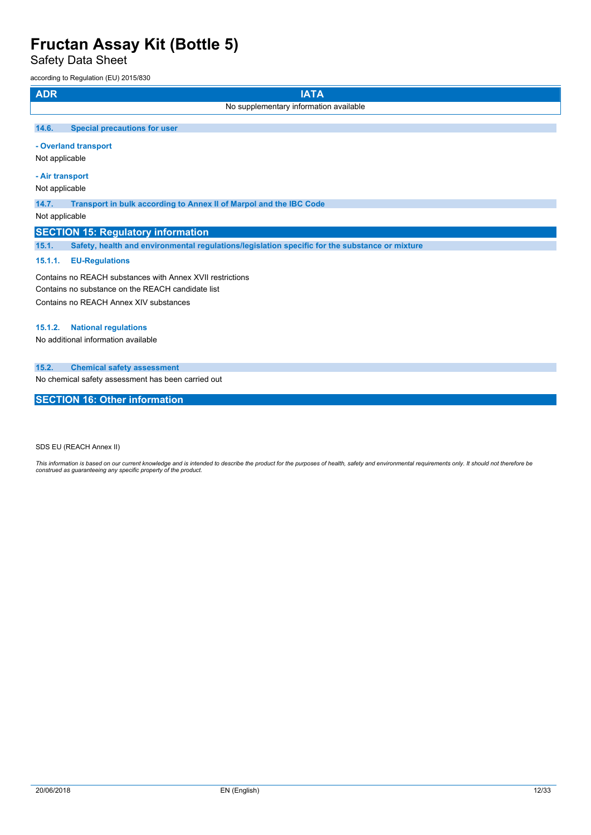Safety Data Sheet

according to Regulation (EU) 2015/830

| <b>ADR</b> | <b>IATA</b>                                                        |
|------------|--------------------------------------------------------------------|
|            | No supplementary information available                             |
|            |                                                                    |
| 14.6.      | <b>Special precautions for user</b>                                |
|            | - Overland transport<br>Not applicable                             |
|            | - Air transport                                                    |
|            | Not applicable                                                     |
| 14.7.      | Transport in bulk according to Annex II of Marpol and the IBC Code |
|            |                                                                    |
|            | Not applicable                                                     |

## **SECTION 15: Regulatory information**

**15.1. Safety, health and environmental regulations/legislation specific for the substance or mixture**

## **15.1.1. EU-Regulations**

Contains no REACH substances with Annex XVII restrictions Contains no substance on the REACH candidate list Contains no REACH Annex XIV substances

#### **15.1.2. National regulations**

No additional information available

### **15.2. Chemical safety assessment**

No chemical safety assessment has been carried out

## **SECTION 16: Other information**

SDS EU (REACH Annex II)

This information is based on our current knowledge and is intended to describe the product for the purposes of health, safety and environmental requirements only. It should not therefore be<br>construed as guaranteeing any sp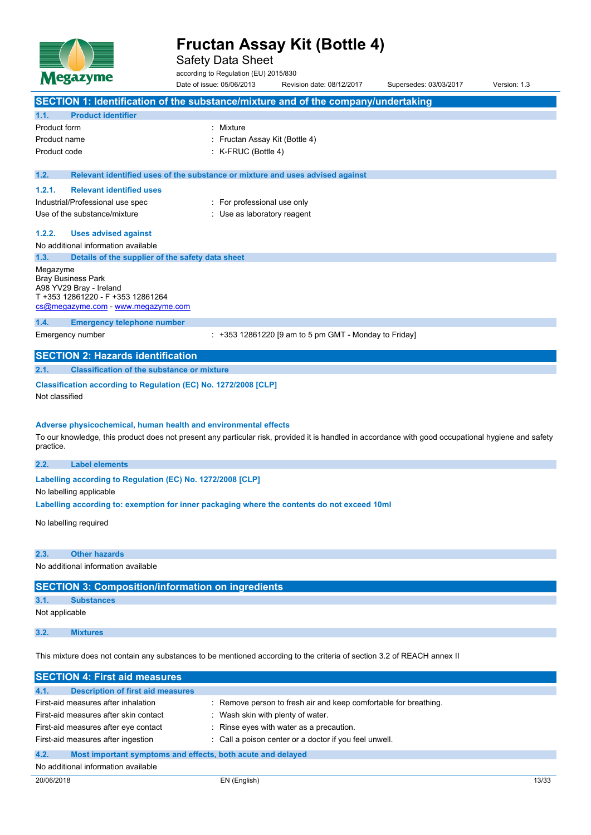

Safety Data Sheet

according to Regulation (EU) 2015/830

Date of issue: 05/06/2013 Revision date: 08/12/2017 Supersedes: 03/03/2017 Version: 1.3 **SECTION 1: Identification of the substance/mixture and of the company/undertaking 1.1. Product identifier** Product form : Nixture Product name : Fructan Assay Kit (Bottle 4) Product code : K-FRUC (Bottle 4) **1.2. Relevant identified uses of the substance or mixture and uses advised against 1.2.1. Relevant identified uses** Industrial/Professional use spec : For professional use only Use of the substance/mixture in the substance/mixture in the substance of the substance of the substance of the substance of the substance of the substance of the substance of the substance of the substance of the substanc **1.2.2. Uses advised against** No additional information available **1.3. Details of the supplier of the safety data sheet** Megazyme Bray Business Park A98 YV29 Bray - Ireland T +353 12861220 - F +353 12861264 [cs@megazyme.com](mailto:cs@megazyme.com) - <www.megazyme.com> **1.4. Emergency telephone number** Emergency number : +353 12861220 [9 am to 5 pm GMT - Monday to Friday] **SECTION 2: Hazards identification 2.1. Classification of the substance or mixture Classification according to Regulation (EC) No. 1272/2008 [CLP]** Not classified **Adverse physicochemical, human health and environmental effects** To our knowledge, this product does not present any particular risk, provided it is handled in accordance with good occupational hygiene and safety practice. **2.2. Label elements Labelling** according to Regulation (EC) No. 1272/2008 [CLP] No labelling applicable

**Labelling according to: exemption for inner packaging where the contents do not exceed 10ml**

No labelling required

## **2.3. Other hazards**

No additional information available

## **SECTION 3: Composition/information on ingredients**

## **3.1. Substances**

Not applicable

## **3.2. Mixtures**

This mixture does not contain any substances to be mentioned according to the criteria of section 3.2 of REACH annex II

| <b>SECTION 4: First aid measures</b>                                |                                                                  |  |
|---------------------------------------------------------------------|------------------------------------------------------------------|--|
| <b>Description of first aid measures</b><br>4.1.                    |                                                                  |  |
| First-aid measures after inhalation                                 | : Remove person to fresh air and keep comfortable for breathing. |  |
| First-aid measures after skin contact                               | Wash skin with plenty of water.                                  |  |
| First-aid measures after eye contact                                | : Rinse eyes with water as a precaution.                         |  |
| First-aid measures after ingestion                                  | : Call a poison center or a doctor if you feel unwell.           |  |
| 4.2.<br>Most important symptoms and effects, both acute and delayed |                                                                  |  |
| No additional information available                                 |                                                                  |  |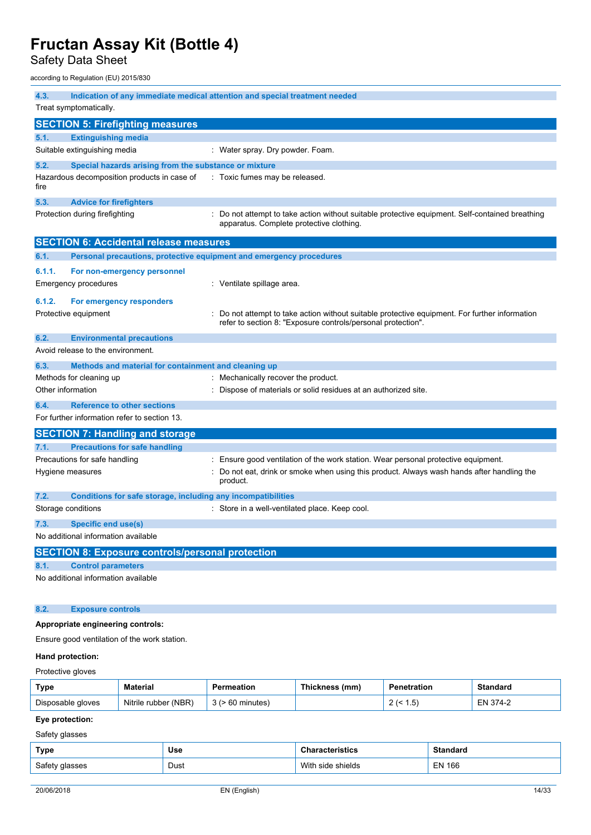Safety Data Sheet

according to Regulation (EU) 2015/830

| 4.3.                   |                                                                     | Indication of any immediate medical attention and special treatment needed                                                                                   |  |
|------------------------|---------------------------------------------------------------------|--------------------------------------------------------------------------------------------------------------------------------------------------------------|--|
| Treat symptomatically. |                                                                     |                                                                                                                                                              |  |
|                        | <b>SECTION 5: Firefighting measures</b>                             |                                                                                                                                                              |  |
| 5.1.                   | <b>Extinguishing media</b>                                          |                                                                                                                                                              |  |
|                        | Suitable extinguishing media                                        | : Water spray. Dry powder. Foam.                                                                                                                             |  |
| 5.2.                   | Special hazards arising from the substance or mixture               |                                                                                                                                                              |  |
| fire                   | Hazardous decomposition products in case of                         | : Toxic fumes may be released.                                                                                                                               |  |
| 5.3.                   | <b>Advice for firefighters</b>                                      |                                                                                                                                                              |  |
|                        | Protection during firefighting                                      | : Do not attempt to take action without suitable protective equipment. Self-contained breathing<br>apparatus. Complete protective clothing.                  |  |
|                        | <b>SECTION 6: Accidental release measures</b>                       |                                                                                                                                                              |  |
| 6.1.                   | Personal precautions, protective equipment and emergency procedures |                                                                                                                                                              |  |
| 6.1.1.                 | For non-emergency personnel                                         |                                                                                                                                                              |  |
|                        | Emergency procedures                                                | : Ventilate spillage area.                                                                                                                                   |  |
| 6.1.2.                 | For emergency responders                                            |                                                                                                                                                              |  |
|                        | Protective equipment                                                | Do not attempt to take action without suitable protective equipment. For further information<br>refer to section 8: "Exposure controls/personal protection". |  |
| 6.2.                   | <b>Environmental precautions</b>                                    |                                                                                                                                                              |  |
|                        | Avoid release to the environment.                                   |                                                                                                                                                              |  |
| 6.3.                   | Methods and material for containment and cleaning up                |                                                                                                                                                              |  |
|                        | Methods for cleaning up                                             | : Mechanically recover the product.                                                                                                                          |  |
| Other information      |                                                                     | : Dispose of materials or solid residues at an authorized site.                                                                                              |  |
| 6.4.                   | <b>Reference to other sections</b>                                  |                                                                                                                                                              |  |
|                        | For further information refer to section 13.                        |                                                                                                                                                              |  |
|                        | <b>SECTION 7: Handling and storage</b>                              |                                                                                                                                                              |  |
| 7.1.                   | <b>Precautions for safe handling</b>                                |                                                                                                                                                              |  |
|                        | Precautions for safe handling                                       | Ensure good ventilation of the work station. Wear personal protective equipment.                                                                             |  |
|                        | Hygiene measures                                                    | Do not eat, drink or smoke when using this product. Always wash hands after handling the<br>product.                                                         |  |
| 7.2.                   | Conditions for safe storage, including any incompatibilities        |                                                                                                                                                              |  |
|                        | Storage conditions                                                  | : Store in a well-ventilated place. Keep cool.                                                                                                               |  |
| 7.3.                   | Specific end use(s)                                                 |                                                                                                                                                              |  |
|                        | No additional information available                                 |                                                                                                                                                              |  |
|                        | <b>SECTION 8: Exposure controls/personal protection</b>             |                                                                                                                                                              |  |
| 8.1.                   | <b>Control parameters</b>                                           |                                                                                                                                                              |  |
|                        | No additional information available                                 |                                                                                                                                                              |  |
| 8.2.                   | <b>Exposure controls</b>                                            |                                                                                                                                                              |  |
|                        | Appropriate engineering controls:                                   |                                                                                                                                                              |  |
|                        | Ensure good ventilation of the work station.                        |                                                                                                                                                              |  |
| Hand protection:       |                                                                     |                                                                                                                                                              |  |

Protective gloves

| Type              | Material             | Permeation | Thickness (mm) | Penetration | Standard    |
|-------------------|----------------------|------------|----------------|-------------|-------------|
| Disposable gloves | Nitrile rubber (NBR) | minutes    |                | י ט         | 374-2<br>EN |

## **Eye protection:**

Safety glasses

| Type           | Use  | <b>Characteristics</b> | <b>Standard</b> |
|----------------|------|------------------------|-----------------|
| Safety glasses | Dust | With side shields      | EN 166          |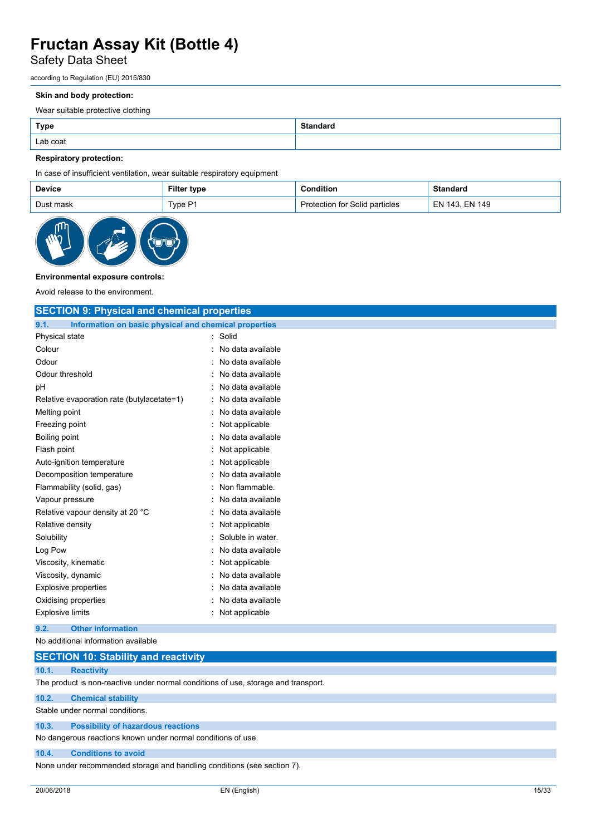## Safety Data Sheet

according to Regulation (EU) 2015/830

#### **Skin and body protection:**

Wear suitable protective clothing

| <b>Type</b> | <b>Standard</b> |
|-------------|-----------------|
| Lab coat    |                 |

## **Respiratory protection:**

In case of insufficient ventilation, wear suitable respiratory equipment

|                      | Filter type | Condition                      | <b>Standard</b> |
|----------------------|-------------|--------------------------------|-----------------|
| Type P1<br>Dust mask |             | Protection for Solid particles | EN 143. EN 149  |



## **Environmental exposure controls:**

Avoid release to the environment.

| <b>SECTION 9: Physical and chemical properties</b>            |                   |  |
|---------------------------------------------------------------|-------------------|--|
| Information on basic physical and chemical properties<br>9.1. |                   |  |
| Physical state                                                | Solid             |  |
| Colour                                                        | No data available |  |
| Odour                                                         | No data available |  |
| Odour threshold                                               | No data available |  |
| рH                                                            | No data available |  |
| Relative evaporation rate (butylacetate=1)                    | No data available |  |
| Melting point                                                 | No data available |  |
| Freezing point                                                | Not applicable    |  |
| <b>Boiling point</b>                                          | No data available |  |
| Flash point                                                   | Not applicable    |  |
| Auto-ignition temperature                                     | Not applicable    |  |
| Decomposition temperature                                     | No data available |  |
| Flammability (solid, gas)                                     | Non flammable.    |  |
| Vapour pressure                                               | No data available |  |
| Relative vapour density at 20 °C                              | No data available |  |
| Relative density                                              | Not applicable    |  |
| Solubility                                                    | Soluble in water. |  |
| Log Pow                                                       | No data available |  |
| Viscosity, kinematic                                          | Not applicable    |  |
| Viscosity, dynamic                                            | No data available |  |
| <b>Explosive properties</b>                                   | No data available |  |
| Oxidising properties                                          | No data available |  |
| <b>Explosive limits</b>                                       | : Not applicable  |  |
| <b>Other information</b><br>9.2.                              |                   |  |
| No additional information available                           |                   |  |
| <b>SECTION 10: Stability and reactivity</b>                   |                   |  |

## **10.1. Reactivity**

The product is non-reactive under normal conditions of use, storage and transport.

#### **10.2. Chemical stability**

Stable under normal conditions.

### **10.3. Possibility of hazardous reactions**

No dangerous reactions known under normal conditions of use.

### **10.4. Conditions to avoid**

None under recommended storage and handling conditions (see section 7).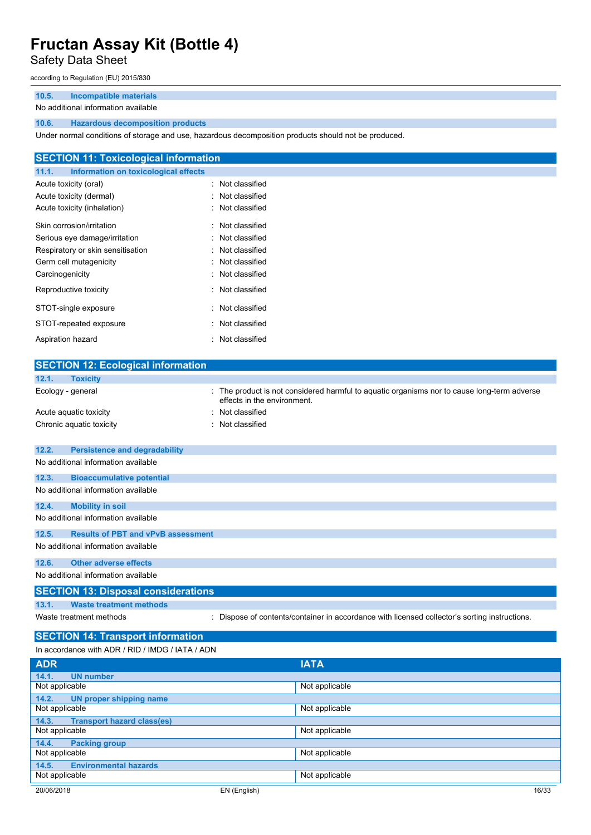## Safety Data Sheet

according to Regulation (EU) 2015/830

## **10.5. Incompatible materials**

### No additional information available

## **10.6. Hazardous decomposition products**

Under normal conditions of storage and use, hazardous decomposition products should not be produced.

| <b>SECTION 11: Toxicological information</b>  |                  |  |
|-----------------------------------------------|------------------|--|
| Information on toxicological effects<br>11.1. |                  |  |
| Acute toxicity (oral)                         | : Not classified |  |
| Acute toxicity (dermal)                       | : Not classified |  |
| Acute toxicity (inhalation)                   | : Not classified |  |
| Skin corrosion/irritation                     | : Not classified |  |
| Serious eye damage/irritation                 | : Not classified |  |
| Respiratory or skin sensitisation             | : Not classified |  |
| Germ cell mutagenicity                        | : Not classified |  |
| Carcinogenicity                               | : Not classified |  |
| Reproductive toxicity                         | : Not classified |  |
| STOT-single exposure                          | : Not classified |  |
| STOT-repeated exposure                        | : Not classified |  |
| Aspiration hazard                             | : Not classified |  |

| <b>SECTION 12: Ecological information</b>          |                                                                                                                            |
|----------------------------------------------------|----------------------------------------------------------------------------------------------------------------------------|
| 12.1.<br><b>Toxicity</b>                           |                                                                                                                            |
| Ecology - general                                  | : The product is not considered harmful to aquatic organisms nor to cause long-term adverse<br>effects in the environment. |
| Acute aquatic toxicity                             | : Not classified                                                                                                           |
| Chronic aquatic toxicity                           | : Not classified                                                                                                           |
| 12.2.<br><b>Persistence and degradability</b>      |                                                                                                                            |
| No additional information available                |                                                                                                                            |
|                                                    |                                                                                                                            |
| 12.3.<br><b>Bioaccumulative potential</b>          |                                                                                                                            |
| No additional information available                |                                                                                                                            |
| <b>Mobility in soil</b><br>12.4.                   |                                                                                                                            |
| No additional information available                |                                                                                                                            |
| 12.5.<br><b>Results of PBT and vPvB assessment</b> |                                                                                                                            |
| No additional information available                |                                                                                                                            |
| <b>Other adverse effects</b><br>12.6.              |                                                                                                                            |
| No additional information available                |                                                                                                                            |
| <b>SECTION 13: Disposal considerations</b>         |                                                                                                                            |
| <b>Waste treatment methods</b><br>13.1.            |                                                                                                                            |
| Waste treatment methods                            | : Dispose of contents/container in accordance with licensed collector's sorting instructions.                              |
| <b>SECTION 14: Transport information</b>           |                                                                                                                            |
| In accordance with ADR / RID / IMDG / IATA / ADN   |                                                                                                                            |
| <b>ADR</b>                                         | <b>IATA</b>                                                                                                                |
| 14.1.<br><b>UN number</b>                          |                                                                                                                            |

| <u> Дрізн</u>                              |                |       |
|--------------------------------------------|----------------|-------|
| <b>UN number</b><br>14.1.                  |                |       |
| Not applicable                             | Not applicable |       |
| 14.2.<br>UN proper shipping name           |                |       |
| Not applicable                             | Not applicable |       |
| 14.3.<br><b>Transport hazard class(es)</b> |                |       |
| Not applicable                             | Not applicable |       |
| 14.4.<br><b>Packing group</b>              |                |       |
| Not applicable                             | Not applicable |       |
| <b>Environmental hazards</b><br>14.5.      |                |       |
| Not applicable                             | Not applicable |       |
| 20/06/2018                                 | EN (English)   | 16/33 |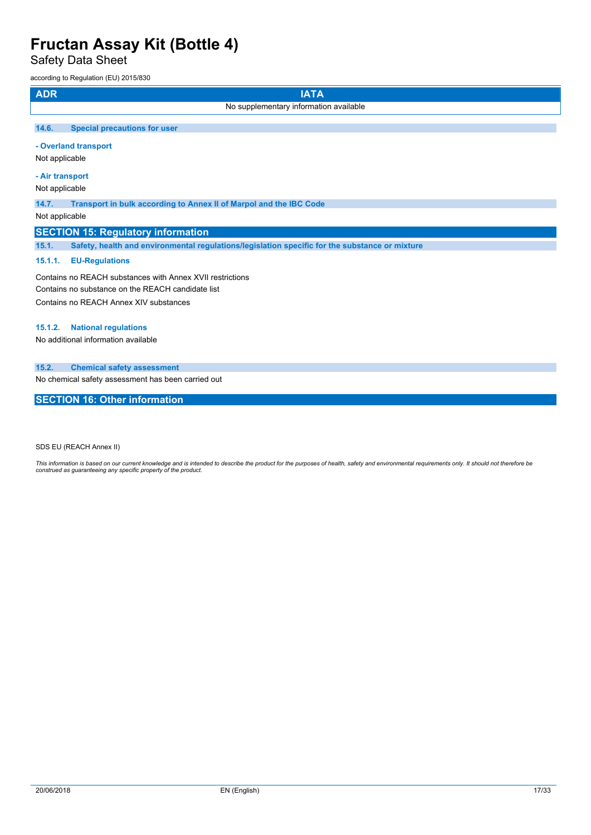Safety Data Sheet

according to Regulation (EU) 2015/830

| <b>ADR</b>     | <b>IATA</b>                                                        |
|----------------|--------------------------------------------------------------------|
|                | No supplementary information available                             |
| 14.6.          | <b>Special precautions for user</b>                                |
|                | - Overland transport                                               |
| Not applicable |                                                                    |
|                | - Air transport                                                    |
| Not applicable |                                                                    |
| 14.7.          | Transport in bulk according to Annex II of Marpol and the IBC Code |
| Not applicable |                                                                    |

## **SECTION 15: Regulatory information**

**15.1. Safety, health and environmental regulations/legislation specific for the substance or mixture**

## **15.1.1. EU-Regulations**

Contains no REACH substances with Annex XVII restrictions Contains no substance on the REACH candidate list Contains no REACH Annex XIV substances

## **15.1.2. National regulations**

No additional information available

## **15.2. Chemical safety assessment**

No chemical safety assessment has been carried out

## **SECTION 16: Other information**

SDS EU (REACH Annex II)

This information is based on our current knowledge and is intended to describe the product for the purposes of health, safety and environmental requirements only. It should not therefore be<br>construed as guaranteeing any sp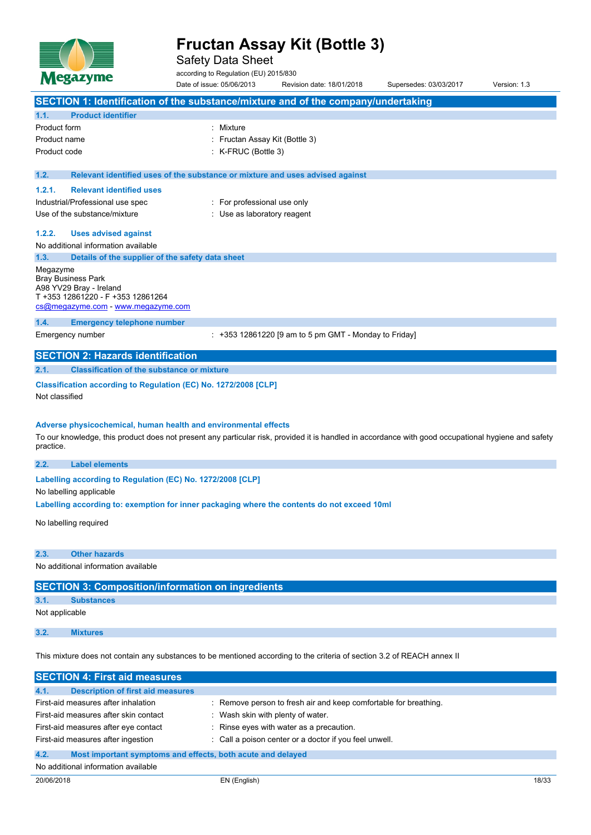

Safety Data Sheet

according to Regulation (EU) 2015/830

|                | Nesu yme                                                        | Date of issue: 05/06/2013                                                     | Revision date: 18/01/2018                                                                                                                           | Supersedes: 03/03/2017 | Version: 1.3 |
|----------------|-----------------------------------------------------------------|-------------------------------------------------------------------------------|-----------------------------------------------------------------------------------------------------------------------------------------------------|------------------------|--------------|
|                |                                                                 |                                                                               | SECTION 1: Identification of the substance/mixture and of the company/undertaking                                                                   |                        |              |
| 1.1.           | <b>Product identifier</b>                                       |                                                                               |                                                                                                                                                     |                        |              |
| Product form   |                                                                 | : Mixture                                                                     |                                                                                                                                                     |                        |              |
| Product name   |                                                                 | : Fructan Assay Kit (Bottle 3)                                                |                                                                                                                                                     |                        |              |
| Product code   |                                                                 | : K-FRUC (Bottle 3)                                                           |                                                                                                                                                     |                        |              |
|                |                                                                 |                                                                               |                                                                                                                                                     |                        |              |
| 1.2.           |                                                                 | Relevant identified uses of the substance or mixture and uses advised against |                                                                                                                                                     |                        |              |
| 1.2.1.         | <b>Relevant identified uses</b>                                 |                                                                               |                                                                                                                                                     |                        |              |
|                | Industrial/Professional use spec                                | : For professional use only                                                   |                                                                                                                                                     |                        |              |
|                | Use of the substance/mixture                                    | : Use as laboratory reagent                                                   |                                                                                                                                                     |                        |              |
| 1.2.2.         | <b>Uses advised against</b>                                     |                                                                               |                                                                                                                                                     |                        |              |
|                | No additional information available                             |                                                                               |                                                                                                                                                     |                        |              |
| 1.3.           | Details of the supplier of the safety data sheet                |                                                                               |                                                                                                                                                     |                        |              |
| Megazyme       |                                                                 |                                                                               |                                                                                                                                                     |                        |              |
|                | <b>Bray Business Park</b>                                       |                                                                               |                                                                                                                                                     |                        |              |
|                | A98 YV29 Bray - Ireland<br>T +353 12861220 - F +353 12861264    |                                                                               |                                                                                                                                                     |                        |              |
|                | cs@megazyme.com - www.megazyme.com                              |                                                                               |                                                                                                                                                     |                        |              |
| 1.4.           | <b>Emergency telephone number</b>                               |                                                                               |                                                                                                                                                     |                        |              |
|                | Emergency number                                                |                                                                               | $: +353$ 12861220 [9 am to 5 pm GMT - Monday to Friday]                                                                                             |                        |              |
|                |                                                                 |                                                                               |                                                                                                                                                     |                        |              |
|                | <b>SECTION 2: Hazards identification</b>                        |                                                                               |                                                                                                                                                     |                        |              |
| 2.1.           | <b>Classification of the substance or mixture</b>               |                                                                               |                                                                                                                                                     |                        |              |
|                | Classification according to Regulation (EC) No. 1272/2008 [CLP] |                                                                               |                                                                                                                                                     |                        |              |
| Not classified |                                                                 |                                                                               |                                                                                                                                                     |                        |              |
|                |                                                                 |                                                                               |                                                                                                                                                     |                        |              |
|                | Adverse physicochemical, human health and environmental effects |                                                                               |                                                                                                                                                     |                        |              |
|                |                                                                 |                                                                               | To our knowledge, this product does not present any particular risk, provided it is handled in accordance with good occupational hygiene and safety |                        |              |
| practice.      |                                                                 |                                                                               |                                                                                                                                                     |                        |              |
| 2.2.           | <b>Label elements</b>                                           |                                                                               |                                                                                                                                                     |                        |              |
|                | Labelling according to Regulation (EC) No. 1272/2008 [CLP]      |                                                                               |                                                                                                                                                     |                        |              |
|                | No labelling applicable                                         |                                                                               |                                                                                                                                                     |                        |              |
|                |                                                                 |                                                                               | Labelling according to: exemption for inner packaging where the contents do not exceed 10ml                                                         |                        |              |
|                |                                                                 |                                                                               |                                                                                                                                                     |                        |              |
|                | No labelling required                                           |                                                                               |                                                                                                                                                     |                        |              |
|                |                                                                 |                                                                               |                                                                                                                                                     |                        |              |
| 2.3.           | <b>Other hazards</b>                                            |                                                                               |                                                                                                                                                     |                        |              |
|                | No additional information available                             |                                                                               |                                                                                                                                                     |                        |              |
|                | <b>SECTION 3: Composition/information on ingredients</b>        |                                                                               |                                                                                                                                                     |                        |              |
| 3.1.           | <b>Substances</b>                                               |                                                                               |                                                                                                                                                     |                        |              |
|                |                                                                 |                                                                               |                                                                                                                                                     |                        |              |

Not applicable

**3.2. Mixtures**

This mixture does not contain any substances to be mentioned according to the criteria of section 3.2 of REACH annex II

| <b>SECTION 4: First aid measures</b>                                |                                                                  |
|---------------------------------------------------------------------|------------------------------------------------------------------|
| 4.1.<br><b>Description of first aid measures</b>                    |                                                                  |
| First-aid measures after inhalation                                 | : Remove person to fresh air and keep comfortable for breathing. |
| First-aid measures after skin contact                               | Wash skin with plenty of water.                                  |
| First-aid measures after eye contact                                | : Rinse eyes with water as a precaution.                         |
| First-aid measures after ingestion                                  | : Call a poison center or a doctor if you feel unwell.           |
| 4.2.<br>Most important symptoms and effects, both acute and delayed |                                                                  |
| No additional information available                                 |                                                                  |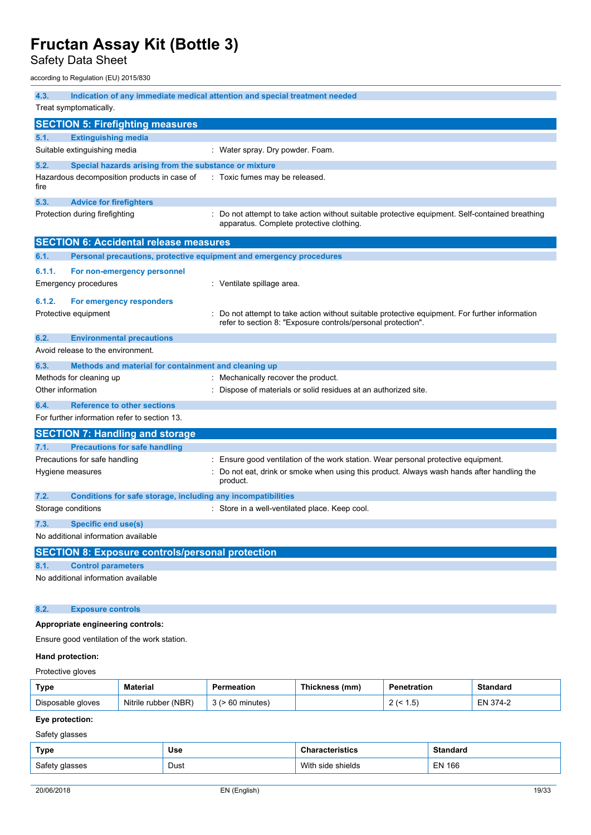Safety Data Sheet

according to Regulation (EU) 2015/830

| 4.3.                                    |                                                                     | Indication of any immediate medical attention and special treatment needed                                                                                   |  |  |  |
|-----------------------------------------|---------------------------------------------------------------------|--------------------------------------------------------------------------------------------------------------------------------------------------------------|--|--|--|
| Treat symptomatically.                  |                                                                     |                                                                                                                                                              |  |  |  |
| <b>SECTION 5: Firefighting measures</b> |                                                                     |                                                                                                                                                              |  |  |  |
| 5.1.                                    | <b>Extinguishing media</b>                                          |                                                                                                                                                              |  |  |  |
|                                         | Suitable extinguishing media                                        | : Water spray. Dry powder. Foam.                                                                                                                             |  |  |  |
| 5.2.                                    | Special hazards arising from the substance or mixture               |                                                                                                                                                              |  |  |  |
| fire                                    | Hazardous decomposition products in case of                         | : Toxic fumes may be released.                                                                                                                               |  |  |  |
| 5.3.                                    | <b>Advice for firefighters</b>                                      |                                                                                                                                                              |  |  |  |
|                                         | Protection during firefighting                                      | : Do not attempt to take action without suitable protective equipment. Self-contained breathing<br>apparatus. Complete protective clothing.                  |  |  |  |
|                                         | <b>SECTION 6: Accidental release measures</b>                       |                                                                                                                                                              |  |  |  |
| 6.1.                                    | Personal precautions, protective equipment and emergency procedures |                                                                                                                                                              |  |  |  |
| 6.1.1.                                  | For non-emergency personnel                                         |                                                                                                                                                              |  |  |  |
|                                         | Emergency procedures                                                | : Ventilate spillage area.                                                                                                                                   |  |  |  |
| 6.1.2.                                  | For emergency responders                                            |                                                                                                                                                              |  |  |  |
|                                         | Protective equipment                                                | Do not attempt to take action without suitable protective equipment. For further information<br>refer to section 8: "Exposure controls/personal protection". |  |  |  |
| 6.2.                                    | <b>Environmental precautions</b>                                    |                                                                                                                                                              |  |  |  |
|                                         | Avoid release to the environment.                                   |                                                                                                                                                              |  |  |  |
| 6.3.                                    | Methods and material for containment and cleaning up                |                                                                                                                                                              |  |  |  |
|                                         | Methods for cleaning up                                             | : Mechanically recover the product.                                                                                                                          |  |  |  |
| Other information                       |                                                                     | : Dispose of materials or solid residues at an authorized site.                                                                                              |  |  |  |
| 6.4.                                    | <b>Reference to other sections</b>                                  |                                                                                                                                                              |  |  |  |
|                                         | For further information refer to section 13.                        |                                                                                                                                                              |  |  |  |
|                                         | <b>SECTION 7: Handling and storage</b>                              |                                                                                                                                                              |  |  |  |
| 7.1.                                    | <b>Precautions for safe handling</b>                                |                                                                                                                                                              |  |  |  |
|                                         | Precautions for safe handling                                       | Ensure good ventilation of the work station. Wear personal protective equipment.                                                                             |  |  |  |
|                                         | Hygiene measures                                                    | Do not eat, drink or smoke when using this product. Always wash hands after handling the<br>product.                                                         |  |  |  |
| 7.2.                                    | Conditions for safe storage, including any incompatibilities        |                                                                                                                                                              |  |  |  |
|                                         | Storage conditions                                                  | : Store in a well-ventilated place. Keep cool.                                                                                                               |  |  |  |
| 7.3.                                    | Specific end use(s)                                                 |                                                                                                                                                              |  |  |  |
|                                         | No additional information available                                 |                                                                                                                                                              |  |  |  |
|                                         | <b>SECTION 8: Exposure controls/personal protection</b>             |                                                                                                                                                              |  |  |  |
| 8.1.                                    | <b>Control parameters</b>                                           |                                                                                                                                                              |  |  |  |
|                                         | No additional information available                                 |                                                                                                                                                              |  |  |  |
| 8.2.                                    | <b>Exposure controls</b>                                            |                                                                                                                                                              |  |  |  |
|                                         | Appropriate engineering controls:                                   |                                                                                                                                                              |  |  |  |
|                                         | Ensure good ventilation of the work station.                        |                                                                                                                                                              |  |  |  |
|                                         | Hand protection:                                                    |                                                                                                                                                              |  |  |  |

## Protective gloves

| Type              | Material             | Permeation | Thickness (mm) | Penetration | Standard    |
|-------------------|----------------------|------------|----------------|-------------|-------------|
| Disposable gloves | Nitrile rubber (NBR) | minutes    |                | י ט         | 374-2<br>EN |

## **Eye protection:**

Safety glasses

| Type           | Use  | <b>Characteristics</b> | <b>Standard</b> |
|----------------|------|------------------------|-----------------|
| Safety glasses | Dust | With side shields      | <b>EN 166</b>   |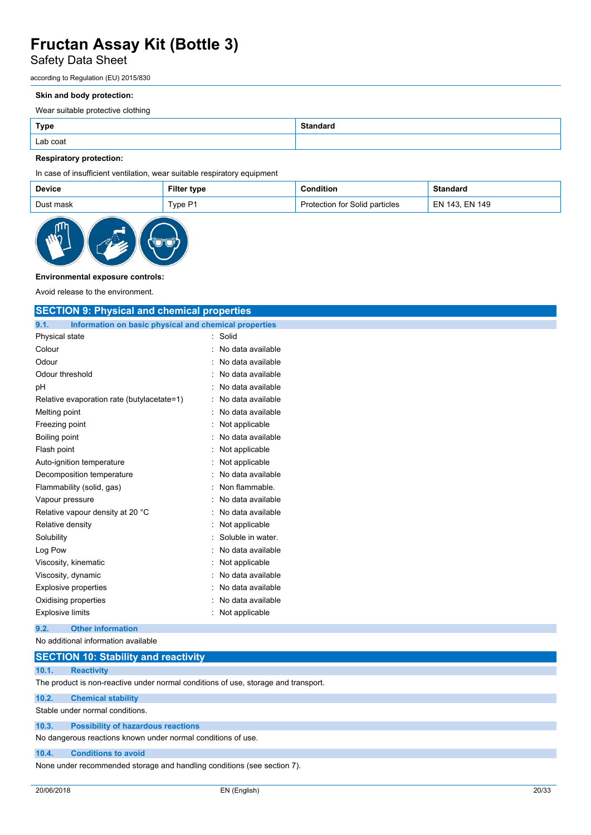## Safety Data Sheet

according to Regulation (EU) 2015/830

#### **Skin and body protection:**

Wear suitable protective clothing

| <b>Type</b> | <b>Standard</b> |
|-------------|-----------------|
| Lab coat    |                 |

## **Respiratory protection:**

In case of insufficient ventilation, wear suitable respiratory equipment

|                      | Filter type | Condition                      | <b>Standard</b> |
|----------------------|-------------|--------------------------------|-----------------|
| Type P1<br>Dust mask |             | Protection for Solid particles | EN 143. EN 149  |



## **Environmental exposure controls:**

Avoid release to the environment.

| <b>SECTION 9: Physical and chemical properties</b>            |                   |  |  |
|---------------------------------------------------------------|-------------------|--|--|
| 9.1.<br>Information on basic physical and chemical properties |                   |  |  |
| Physical state                                                | Solid             |  |  |
| Colour                                                        | No data available |  |  |
| Odour                                                         | No data available |  |  |
| Odour threshold                                               | No data available |  |  |
| рH                                                            | No data available |  |  |
| Relative evaporation rate (butylacetate=1)                    | No data available |  |  |
| Melting point                                                 | No data available |  |  |
| Freezing point                                                | Not applicable    |  |  |
| Boiling point                                                 | No data available |  |  |
| Flash point                                                   | Not applicable    |  |  |
| Auto-ignition temperature                                     | Not applicable    |  |  |
| Decomposition temperature                                     | No data available |  |  |
| Flammability (solid, gas)                                     | Non flammable.    |  |  |
| Vapour pressure                                               | No data available |  |  |
| Relative vapour density at 20 °C                              | No data available |  |  |
| Relative density                                              | Not applicable    |  |  |
| Solubility                                                    | Soluble in water. |  |  |
| Log Pow                                                       | No data available |  |  |
| Viscosity, kinematic                                          | Not applicable    |  |  |
| Viscosity, dynamic                                            | No data available |  |  |
| <b>Explosive properties</b>                                   | No data available |  |  |
| Oxidising properties                                          | No data available |  |  |
| <b>Explosive limits</b>                                       | Not applicable    |  |  |
| <b>Other information</b><br>9.2.                              |                   |  |  |
| No additional information available                           |                   |  |  |
| <b>SECTION 10: Stability and reactivity</b>                   |                   |  |  |

## **10.1. Reactivity**

The product is non-reactive under normal conditions of use, storage and transport.

#### **10.2. Chemical stability**

Stable under normal conditions.

### **10.3. Possibility of hazardous reactions**

No dangerous reactions known under normal conditions of use.

### **10.4. Conditions to avoid**

None under recommended storage and handling conditions (see section 7).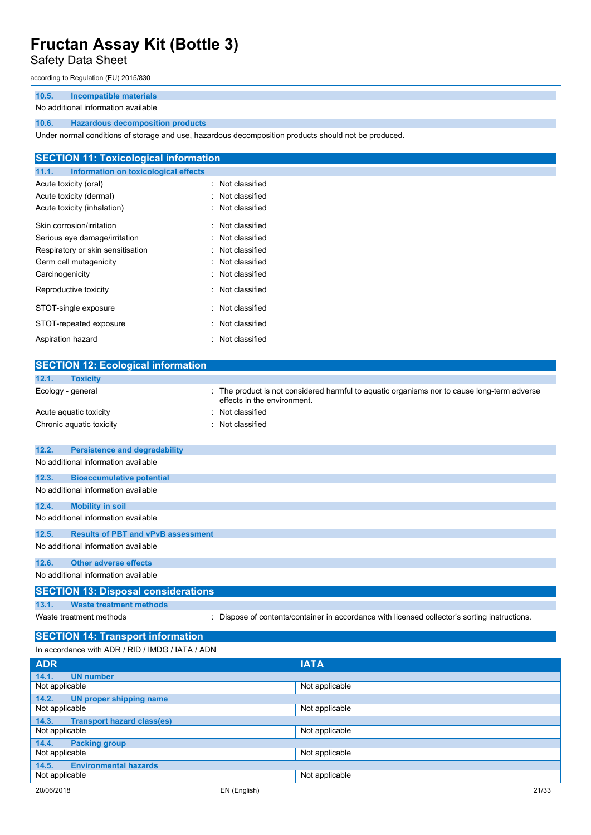## Safety Data Sheet

according to Regulation (EU) 2015/830

## **10.5. Incompatible materials**

### No additional information available

## **10.6. Hazardous decomposition products**

Under normal conditions of storage and use, hazardous decomposition products should not be produced.

| <b>SECTION 11: Toxicological information</b>  |                  |  |
|-----------------------------------------------|------------------|--|
| Information on toxicological effects<br>11.1. |                  |  |
| Acute toxicity (oral)                         | : Not classified |  |
| Acute toxicity (dermal)                       | : Not classified |  |
| Acute toxicity (inhalation)                   | : Not classified |  |
| Skin corrosion/irritation                     | : Not classified |  |
| Serious eye damage/irritation                 | : Not classified |  |
| Respiratory or skin sensitisation             | : Not classified |  |
| Germ cell mutagenicity                        | : Not classified |  |
| Carcinogenicity                               | : Not classified |  |
| Reproductive toxicity                         | : Not classified |  |
| STOT-single exposure                          | : Not classified |  |
| STOT-repeated exposure                        | : Not classified |  |
| Aspiration hazard                             | : Not classified |  |

| <b>SECTION 12: Ecological information</b>          |                                                                                                                            |
|----------------------------------------------------|----------------------------------------------------------------------------------------------------------------------------|
| 12.1.<br><b>Toxicity</b>                           |                                                                                                                            |
| Ecology - general                                  | : The product is not considered harmful to aquatic organisms nor to cause long-term adverse<br>effects in the environment. |
| Acute aquatic toxicity                             | : Not classified                                                                                                           |
| Chronic aquatic toxicity                           | : Not classified                                                                                                           |
| 12.2.<br><b>Persistence and degradability</b>      |                                                                                                                            |
| No additional information available                |                                                                                                                            |
|                                                    |                                                                                                                            |
| 12.3.<br><b>Bioaccumulative potential</b>          |                                                                                                                            |
| No additional information available                |                                                                                                                            |
| <b>Mobility in soil</b><br>12.4.                   |                                                                                                                            |
| No additional information available                |                                                                                                                            |
| 12.5.<br><b>Results of PBT and vPvB assessment</b> |                                                                                                                            |
| No additional information available                |                                                                                                                            |
| <b>Other adverse effects</b><br>12.6.              |                                                                                                                            |
| No additional information available                |                                                                                                                            |
| <b>SECTION 13: Disposal considerations</b>         |                                                                                                                            |
| <b>Waste treatment methods</b><br>13.1.            |                                                                                                                            |
| Waste treatment methods                            | : Dispose of contents/container in accordance with licensed collector's sorting instructions.                              |
| <b>SECTION 14: Transport information</b>           |                                                                                                                            |
| In accordance with ADR / RID / IMDG / IATA / ADN   |                                                                                                                            |
| <b>ADR</b>                                         | <b>IATA</b>                                                                                                                |
| 14.1.<br><b>UN number</b>                          |                                                                                                                            |

| <u> Дрізн</u>                              |                |       |
|--------------------------------------------|----------------|-------|
| <b>UN number</b><br>14.1.                  |                |       |
| Not applicable                             | Not applicable |       |
| 14.2.<br>UN proper shipping name           |                |       |
| Not applicable                             | Not applicable |       |
| 14.3.<br><b>Transport hazard class(es)</b> |                |       |
| Not applicable                             | Not applicable |       |
| 14.4.<br><b>Packing group</b>              |                |       |
| Not applicable                             | Not applicable |       |
| <b>Environmental hazards</b><br>14.5.      |                |       |
| Not applicable                             | Not applicable |       |
| 20/06/2018                                 | EN (English)   | 21/33 |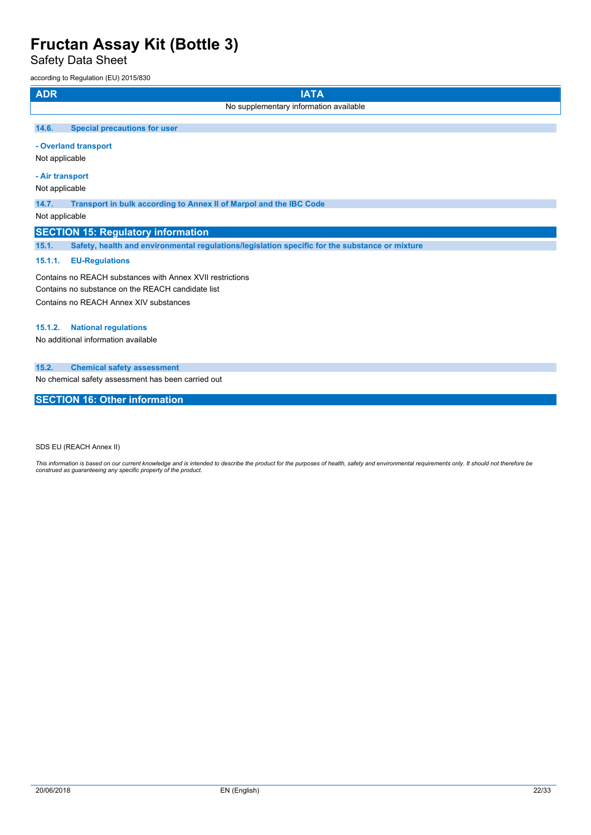Safety Data Sheet

according to Regulation (EU) 2015/830

| <b>ADR</b> | <b>IATA</b>                                                        |  |  |
|------------|--------------------------------------------------------------------|--|--|
|            | No supplementary information available                             |  |  |
| 14.6.      | <b>Special precautions for user</b>                                |  |  |
|            | - Overland transport                                               |  |  |
|            | Not applicable                                                     |  |  |
|            | - Air transport                                                    |  |  |
|            | Not applicable                                                     |  |  |
| 14.7.      | Transport in bulk according to Annex II of Marpol and the IBC Code |  |  |

Not applicable

## **SECTION 15: Regulatory information**

**15.1. Safety, health and environmental regulations/legislation specific for the substance or mixture**

## **15.1.1. EU-Regulations**

Contains no REACH substances with Annex XVII restrictions Contains no substance on the REACH candidate list Contains no REACH Annex XIV substances

### **15.1.2. National regulations**

No additional information available

### **15.2. Chemical safety assessment**

No chemical safety assessment has been carried out

## **SECTION 16: Other information**

SDS EU (REACH Annex II)

This information is based on our current knowledge and is intended to describe the product for the purposes of health, safety and environmental requirements only. It should not therefore be<br>construed as guaranteeing any sp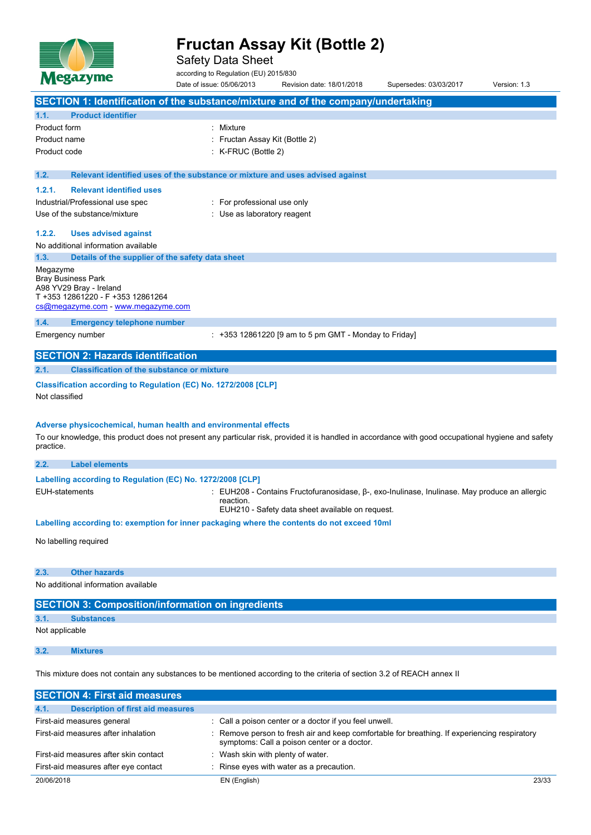

Safety Data Sheet

according to Regulation (EU) 2015/830

Date of issue: 05/06/2013 Revision date: 18/01/2018 Supersedes: 03/03/2017 Version: 1.3 **SECTION 1: Identification of the substance/mixture and of the company/undertaking 1.1. Product identifier** Product form : Nixture Product name : Fructan Assay Kit (Bottle 2) Product code : K-FRUC (Bottle 2) **1.2. Relevant identified uses of the substance or mixture and uses advised against 1.2.1. Relevant identified uses** Industrial/Professional use spec : For professional use only Use of the substance/mixture in the substance/mixture in the substance of the substance of the substance of the substance of the substance of the substance of the substance of the substance of the substance of the substanc **1.2.2. Uses advised against** No additional information available **1.3. Details of the supplier of the safety data sheet** Megazyme Bray Business Park A98 YV29 Bray - Ireland T +353 12861220 - F +353 12861264 [cs@megazyme.com](mailto:cs@megazyme.com) - <www.megazyme.com> **1.4. Emergency telephone number** Emergency number : +353 12861220 [9 am to 5 pm GMT - Monday to Friday] **SECTION 2: Hazards identification 2.1. Classification of the substance or mixture Classification according to Regulation (EC) No. 1272/2008 [CLP]** Not classified **Adverse physicochemical, human health and environmental effects** To our knowledge, this product does not present any particular risk, provided it is handled in accordance with good occupational hygiene and safety practice. **2.2. Label elements Labelling according** to **Regulation** (EC) No. 1272/2008 [CLP] EUH-statements : EUH208 - Contains Fructofuranosidase, β-, exo-Inulinase, Inulinase. May produce an allergic reaction. EUH210 - Safety data sheet available on request. **Labelling according to: exemption for inner packaging where the contents do not exceed 10ml** No labelling required **2.3. Other hazards** No additional information available **SECTION 3: Composition/information on ingredients 3.1. Substances** Not applicable **3.2. Mixtures**

This mixture does not contain any substances to be mentioned according to the criteria of section 3.2 of REACH annex II

| <b>SECTION 4: First aid measures</b>             |                                                                                                                                             |       |
|--------------------------------------------------|---------------------------------------------------------------------------------------------------------------------------------------------|-------|
| <b>Description of first aid measures</b><br>4.1. |                                                                                                                                             |       |
| First-aid measures general                       | : Call a poison center or a doctor if you feel unwell.                                                                                      |       |
| First-aid measures after inhalation              | : Remove person to fresh air and keep comfortable for breathing. If experiencing respiratory<br>symptoms: Call a poison center or a doctor. |       |
| First-aid measures after skin contact            | Wash skin with plenty of water.                                                                                                             |       |
| First-aid measures after eye contact             | Rinse eyes with water as a precaution.                                                                                                      |       |
| 20/06/2018                                       | EN (English)                                                                                                                                | 23/33 |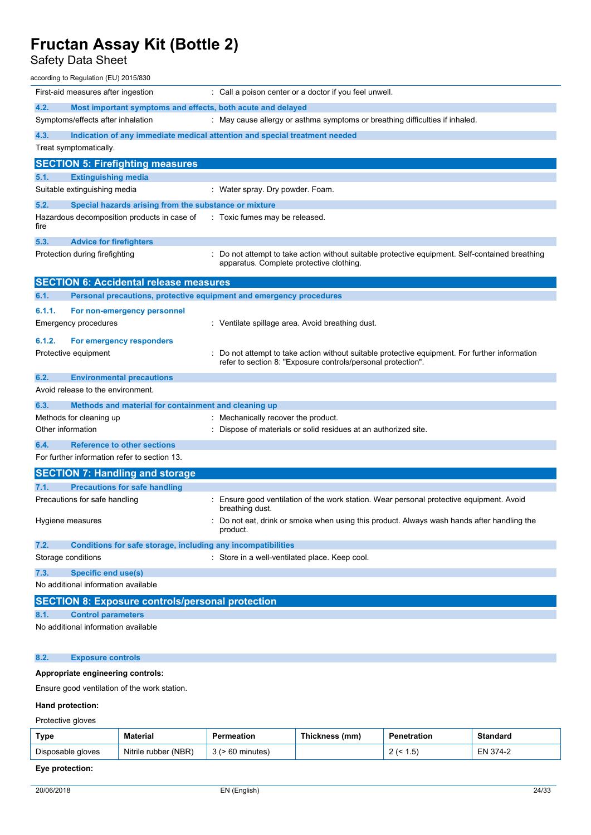## Safety Data Sheet

| according to Regulation (EU) 2015/830                                       |                                                                                                                                           |
|-----------------------------------------------------------------------------|-------------------------------------------------------------------------------------------------------------------------------------------|
| First-aid measures after ingestion                                          | : Call a poison center or a doctor if you feel unwell.                                                                                    |
| 4.2.<br>Most important symptoms and effects, both acute and delayed         |                                                                                                                                           |
| Symptoms/effects after inhalation                                           | : May cause allergy or asthma symptoms or breathing difficulties if inhaled.                                                              |
| 4.3.                                                                        | Indication of any immediate medical attention and special treatment needed                                                                |
| Treat symptomatically.                                                      |                                                                                                                                           |
| <b>SECTION 5: Firefighting measures</b>                                     |                                                                                                                                           |
| 5.1.<br><b>Extinguishing media</b>                                          |                                                                                                                                           |
| Suitable extinguishing media                                                | : Water spray. Dry powder. Foam.                                                                                                          |
| 5.2.<br>Special hazards arising from the substance or mixture               |                                                                                                                                           |
| Hazardous decomposition products in case of<br>fire                         | : Toxic fumes may be released.                                                                                                            |
| 5.3.<br><b>Advice for firefighters</b>                                      |                                                                                                                                           |
| Protection during firefighting                                              | Do not attempt to take action without suitable protective equipment. Self-contained breathing<br>apparatus. Complete protective clothing. |
| <b>SECTION 6: Accidental release measures</b>                               |                                                                                                                                           |
| 6.1.<br>Personal precautions, protective equipment and emergency procedures |                                                                                                                                           |
| 6.1.1.<br>For non-emergency personnel                                       |                                                                                                                                           |
| Emergency procedures                                                        | : Ventilate spillage area. Avoid breathing dust.                                                                                          |
| 6.1.2.<br>For emergency responders                                          |                                                                                                                                           |
| Protective equipment                                                        | Do not attempt to take action without suitable protective equipment. For further information                                              |
|                                                                             | refer to section 8: "Exposure controls/personal protection".                                                                              |
| 6.2.<br><b>Environmental precautions</b>                                    |                                                                                                                                           |
| Avoid release to the environment.                                           |                                                                                                                                           |
| 6.3.<br>Methods and material for containment and cleaning up                |                                                                                                                                           |
| Methods for cleaning up                                                     | : Mechanically recover the product.                                                                                                       |
| Other information                                                           | : Dispose of materials or solid residues at an authorized site.                                                                           |
| 6.4.<br><b>Reference to other sections</b>                                  |                                                                                                                                           |
| For further information refer to section 13.                                |                                                                                                                                           |
| <b>SECTION 7: Handling and storage</b>                                      |                                                                                                                                           |
| <b>Precautions for safe handling</b><br>7.1.                                |                                                                                                                                           |
| Precautions for safe handling                                               | : Ensure good ventilation of the work station. Wear personal protective equipment. Avoid<br>breathing dust.                               |
| Hygiene measures                                                            | Do not eat, drink or smoke when using this product. Always wash hands after handling the<br>product.                                      |
| 7.2.<br>Conditions for safe storage, including any incompatibilities        |                                                                                                                                           |
| Storage conditions                                                          | : Store in a well-ventilated place. Keep cool.                                                                                            |
| <b>Specific end use(s)</b><br>7.3.                                          |                                                                                                                                           |
| No additional information available                                         |                                                                                                                                           |
| <b>SECTION 8: Exposure controls/personal protection</b>                     |                                                                                                                                           |
| 8.1.<br><b>Control parameters</b>                                           |                                                                                                                                           |
| No additional information available                                         |                                                                                                                                           |
| 8.2.<br><b>Exposure controls</b>                                            |                                                                                                                                           |

### **Appropriate engineering controls:**

Ensure good ventilation of the work station.

## **Hand protection:**

Protective gloves

| Type              | <b>Material</b>      |              | Thickness (mm) | etration          | Standard |
|-------------------|----------------------|--------------|----------------|-------------------|----------|
| Disposable gloves | Nitrile rubber (NBR) | ⋅60 minutes) |                | י ט<br>$\epsilon$ | EN 374-2 |

## **Eye protection:**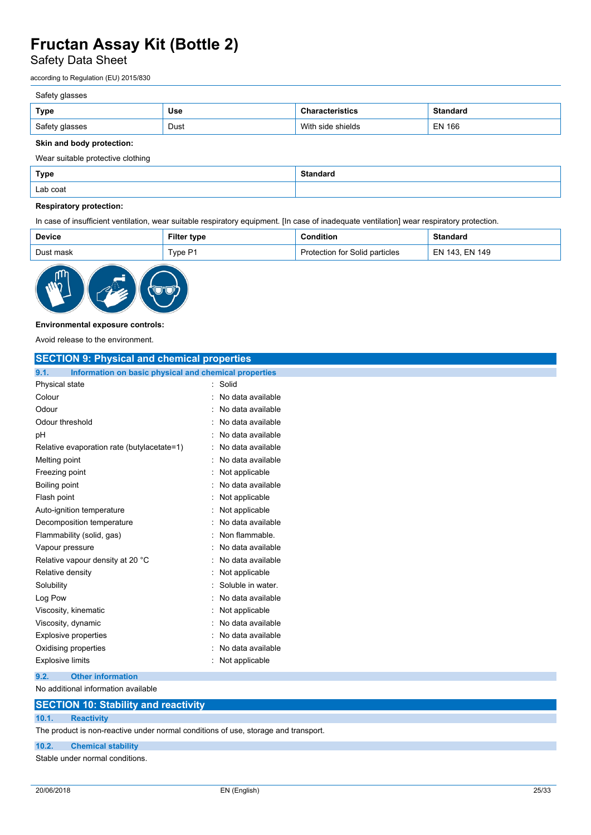Safety Data Sheet

according to Regulation (EU) 2015/830

## Safety glasses

| Type           | Use  |                           |               |
|----------------|------|---------------------------|---------------|
| Safety glasses | Dust | With<br>: shields<br>cida | <b>EN 166</b> |

## **Skin and body protection:**

Wear suitable protective clothing

| Type     | C <sub>1</sub><br>. |
|----------|---------------------|
| Lab coat |                     |

## **Respiratory protection:**

In case of insufficient ventilation, wear suitable respiratory equipment. [In case of inadequate ventilation] wear respiratory protection.

| <b>Device</b> | Filter type | <b>Condition</b>               | <b>Standard</b> |
|---------------|-------------|--------------------------------|-----------------|
| Dust mask     | Type P1     | Protection for Solid particles | EN 143. EN 149  |
|               |             |                                |                 |



#### **Environmental exposure controls:**

Avoid release to the environment.

| <b>SECTION 9: Physical and chemical properties</b>            |                   |
|---------------------------------------------------------------|-------------------|
| 9.1.<br>Information on basic physical and chemical properties |                   |
| Physical state                                                | Solid             |
| Colour                                                        | No data available |
| Odour                                                         | No data available |
| Odour threshold                                               | No data available |
| рH                                                            | No data available |
| Relative evaporation rate (butylacetate=1)                    | No data available |
| Melting point                                                 | No data available |
| Freezing point                                                | Not applicable    |
| Boiling point                                                 | No data available |
| Flash point                                                   | Not applicable    |
| Auto-ignition temperature                                     | Not applicable    |
| Decomposition temperature                                     | No data available |
| Flammability (solid, gas)                                     | Non flammable.    |
| Vapour pressure                                               | No data available |
| Relative vapour density at 20 °C                              | No data available |
| Relative density                                              | Not applicable    |
| Solubility                                                    | Soluble in water. |
| Log Pow                                                       | No data available |
| Viscosity, kinematic                                          | Not applicable    |
| Viscosity, dynamic                                            | No data available |
| <b>Explosive properties</b>                                   | No data available |
| Oxidising properties                                          | No data available |
| <b>Explosive limits</b>                                       | Not applicable    |
| 9.2.<br><b>Other information</b>                              |                   |

No additional information available

| <b>SECTION 10: Stability and reactivity</b> |  |
|---------------------------------------------|--|
|                                             |  |

## **10.1. Reactivity**

The product is non-reactive under normal conditions of use, storage and transport.

## **10.2. Chemical stability**

Stable under normal conditions.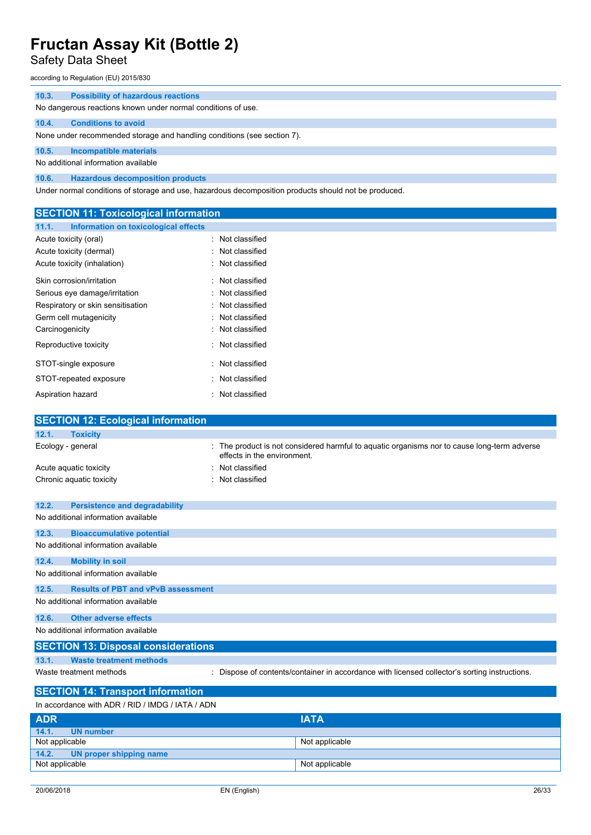# Safety Data Sheet

according to Regulation (EU) 2015/830

| <b>Possibility of hazardous reactions</b><br>10.3.                                                   |  |  |
|------------------------------------------------------------------------------------------------------|--|--|
| No dangerous reactions known under normal conditions of use.                                         |  |  |
| <b>Conditions to avoid</b><br>10.4.                                                                  |  |  |
| None under recommended storage and handling conditions (see section 7).                              |  |  |
| <b>Incompatible materials</b><br>10.5.                                                               |  |  |
| No additional information available                                                                  |  |  |
| <b>Hazardous decomposition products</b><br>10.6.                                                     |  |  |
| Under normal conditions of storage and use, hazardous decomposition products should not be produced. |  |  |

| <b>SECTION 11: Toxicological information</b>                                                                               |
|----------------------------------------------------------------------------------------------------------------------------|
|                                                                                                                            |
| Not classified                                                                                                             |
| : Not classified                                                                                                           |
| : Not classified                                                                                                           |
| Not classified                                                                                                             |
| Not classified                                                                                                             |
| : Not classified                                                                                                           |
| : Not classified                                                                                                           |
| : Not classified                                                                                                           |
| : Not classified                                                                                                           |
| : Not classified                                                                                                           |
| : Not classified                                                                                                           |
| : Not classified                                                                                                           |
|                                                                                                                            |
| <b>SECTION 12: Ecological information</b>                                                                                  |
|                                                                                                                            |
| : The product is not considered harmful to aquatic organisms nor to cause long-term adverse<br>effects in the environment. |
| : Not classified                                                                                                           |
| : Not classified                                                                                                           |
|                                                                                                                            |

| 12.2. | <b>Persistence and degradability</b>       |                                                                                               |
|-------|--------------------------------------------|-----------------------------------------------------------------------------------------------|
|       | No additional information available        |                                                                                               |
| 12.3. | <b>Bioaccumulative potential</b>           |                                                                                               |
|       | No additional information available        |                                                                                               |
| 12.4. | <b>Mobility in soil</b>                    |                                                                                               |
|       | No additional information available        |                                                                                               |
| 12.5. | <b>Results of PBT and vPvB assessment</b>  |                                                                                               |
|       | No additional information available        |                                                                                               |
| 12.6. | Other adverse effects                      |                                                                                               |
|       | No additional information available        |                                                                                               |
|       | <b>SECTION 13: Disposal considerations</b> |                                                                                               |
| 13.1. | <b>Waste treatment methods</b>             |                                                                                               |
|       | Waste treatment methods                    | : Dispose of contents/container in accordance with licensed collector's sorting instructions. |
|       |                                            |                                                                                               |

## **SECTION 14: Transport information** In accordance with ADR / RID / IMDG / IATA / ADN

| <b>ADR</b>                       | <b>IATA</b>    |  |
|----------------------------------|----------------|--|
| 14.1.<br><b>UN</b> number        |                |  |
| Not applicable                   | Not applicable |  |
| 14.2. UN proper shipping name    |                |  |
| Not applicable<br>Not applicable |                |  |
|                                  |                |  |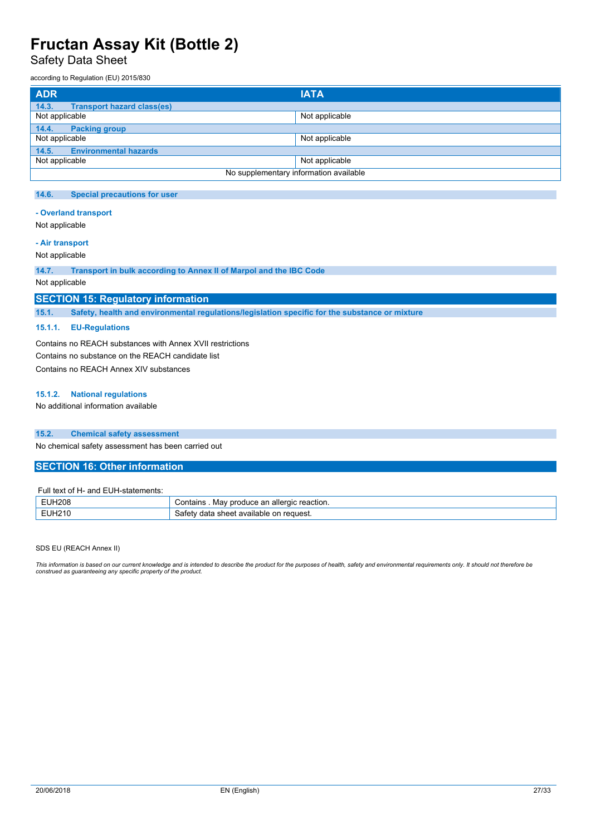Safety Data Sheet

according to Regulation (EU) 2015/830

| <b>ADR</b>                                 | <b>IATA</b>                            |
|--------------------------------------------|----------------------------------------|
| <b>Transport hazard class(es)</b><br>14.3. |                                        |
| Not applicable                             | Not applicable                         |
| <b>Packing group</b><br>14.4.              |                                        |
| Not applicable                             | Not applicable                         |
| <b>Environmental hazards</b><br>14.5.      |                                        |
| Not applicable                             | Not applicable                         |
|                                            | No supplementary information available |

#### **14.6. Special precautions for user**

### **- Overland transport**

Not applicable

## **- Air transport**

Not applicable

**14.7. Transport in bulk according to Annex II of Marpol and the IBC Code**

Not applicable

## **SECTION 15: Regulatory information**

**15.1. Safety, health and environmental regulations/legislation specific for the substance or mixture**

#### **15.1.1. EU-Regulations**

Contains no REACH substances with Annex XVII restrictions Contains no substance on the REACH candidate list Contains no REACH Annex XIV substances

#### **15.1.2. National regulations**

No additional information available

#### **15.2. Chemical safety assessment**

No chemical safety assessment has been carried out

### **SECTION 16: Other information**

#### Full text of H- and EUH-statements:

| <b>EUH208</b> | produce an allergic reaction.<br>∵ontairٻ<br>Mav<br>11 I S |
|---------------|------------------------------------------------------------|
| EUH210        | reauest.<br>। sheet available on<br>data<br>iatet∖         |

SDS EU (REACH Annex II)

This information is based on our current knowledge and is intended to describe the product for the purposes of health, safety and environmental requirements only. It should not therefore be<br>construed as guaranteeing any sp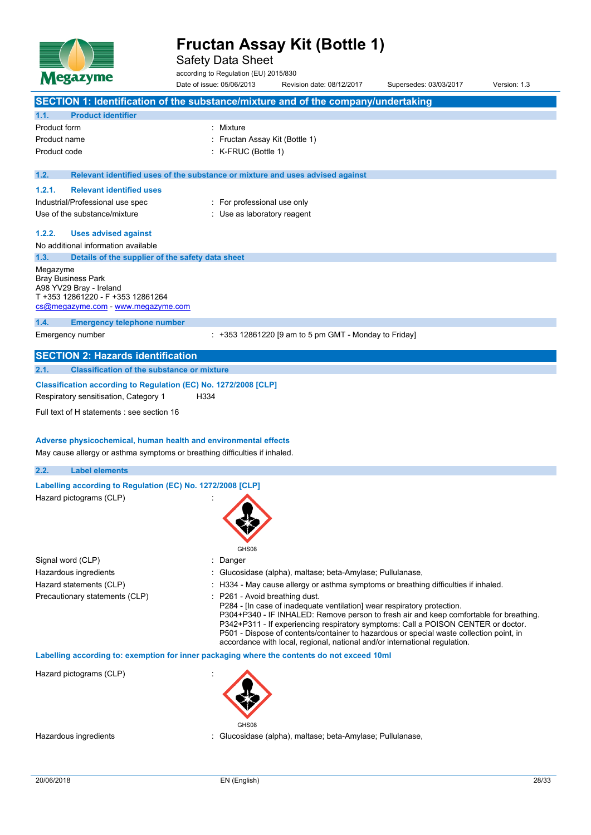

Safety Data Sheet

according to Regulation (EU) 2015/830

Date of issue: 05/06/2013 Revision date: 08/12/2017 Supersedes: 03/03/2017 Version: 1.3 **SECTION 1: Identification of the substance/mixture and of the company/undertaking 1.1. Product identifier** Product form : Nixture Product name : Fructan Assay Kit (Bottle 1) Product code : K-FRUC (Bottle 1) **1.2. Relevant identified uses of the substance or mixture and uses advised against 1.2.1. Relevant identified uses** Industrial/Professional use spec : For professional use only Use of the substance/mixture in the substance/mixture in the substance of the substance of the substance of the substance of the substance of the substance of the substance of the substance of the substance of the substanc **1.2.2. Uses advised against** No additional information available **1.3. Details of the supplier of the safety data sheet** Megazyme Bray Business Park A98 YV29 Bray - Ireland T +353 12861220 - F +353 12861264 [cs@megazyme.com](mailto:cs@megazyme.com) - <www.megazyme.com> **1.4. Emergency telephone number** Emergency number : +353 12861220 [9 am to 5 pm GMT - Monday to Friday] **SECTION 2: Hazards identification 2.1. Classification of the substance or mixture Classification according to Regulation (EC) No. 1272/2008 [CLP]** Respiratory sensitisation, Category 1 H334 Full text of H statements : see section 16 **Adverse physicochemical, human health and environmental effects** May cause allergy or asthma symptoms or breathing difficulties if inhaled. **2.2. Label elements Labelling according to Regulation** (EC) **No. 1272/2008** [CLP] Hazard pictograms (CLP) : GHS08 Signal word (CLP)  $\qquad \qquad$ : Danger Hazardous ingredients : Glucosidase (alpha), maltase; beta-Amylase; Pullulanase, Hazard statements (CLP) : H334 - May cause allergy or asthma symptoms or breathing difficulties if inhaled. Precautionary statements (CLP) : P261 - Avoid breathing dust. P284 - [In case of inadequate ventilation] wear respiratory protection. P304+P340 - IF INHALED: Remove person to fresh air and keep comfortable for breathing. P342+P311 - If experiencing respiratory symptoms: Call a POISON CENTER or doctor. P501 - Dispose of contents/container to hazardous or special waste collection point, in accordance with local, regional, national and/or international regulation. **Labelling according to: exemption for inner packaging where the contents do not exceed 10ml** Hazard pictograms (CLP) :

Hazardous ingredients : Glucosidase (alpha), maltase; beta-Amylase; Pullulanase,

GHS08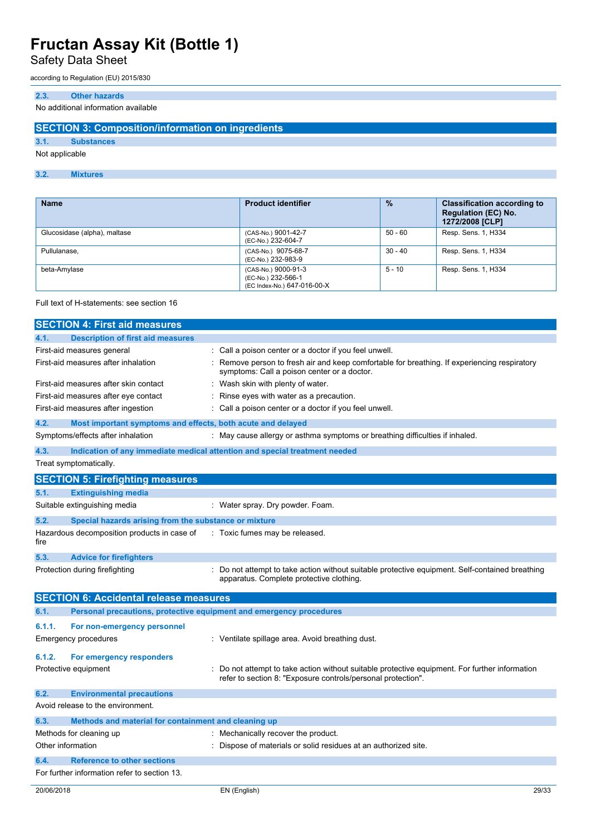Safety Data Sheet

according to Regulation (EU) 2015/830

## **2.3. Other hazards**

No additional information available

## **SECTION 3: Composition/information on ingredients**

### **3.1. Substances**

Not applicable

## **3.2. Mixtures**

| <b>Name</b>                  | <b>Product identifier</b>                                                | $\frac{0}{2}$ | <b>Classification according to</b><br><b>Regulation (EC) No.</b><br>1272/2008 [CLP] |
|------------------------------|--------------------------------------------------------------------------|---------------|-------------------------------------------------------------------------------------|
| Glucosidase (alpha), maltase | (CAS-No.) 9001-42-7<br>(EC-No.) 232-604-7                                | $50 - 60$     | Resp. Sens. 1, H334                                                                 |
| Pullulanase,                 | (CAS-No.) 9075-68-7<br>(EC-No.) 232-983-9                                | $30 - 40$     | Resp. Sens. 1, H334                                                                 |
| beta-Amylase                 | (CAS-No.) 9000-91-3<br>(EC-No.) 232-566-1<br>(EC Index-No.) 647-016-00-X | $5 - 10$      | Resp. Sens. 1, H334                                                                 |

#### Full text of H-statements: see section 16

|                   | <b>SECTION 4: First aid measures</b>                                |                                                                                                                                                              |
|-------------------|---------------------------------------------------------------------|--------------------------------------------------------------------------------------------------------------------------------------------------------------|
| 4.1.              | <b>Description of first aid measures</b>                            |                                                                                                                                                              |
|                   | First-aid measures general                                          | Call a poison center or a doctor if you feel unwell.                                                                                                         |
|                   | First-aid measures after inhalation                                 | Remove person to fresh air and keep comfortable for breathing. If experiencing respiratory<br>symptoms: Call a poison center or a doctor.                    |
|                   | First-aid measures after skin contact                               | Wash skin with plenty of water.                                                                                                                              |
|                   | First-aid measures after eye contact                                | Rinse eyes with water as a precaution.                                                                                                                       |
|                   | First-aid measures after ingestion                                  | Call a poison center or a doctor if you feel unwell.                                                                                                         |
| 4.2.              | Most important symptoms and effects, both acute and delayed         |                                                                                                                                                              |
|                   | Symptoms/effects after inhalation                                   | : May cause allergy or asthma symptoms or breathing difficulties if inhaled.                                                                                 |
| 4.3.              |                                                                     | Indication of any immediate medical attention and special treatment needed                                                                                   |
|                   | Treat symptomatically.                                              |                                                                                                                                                              |
|                   | <b>SECTION 5: Firefighting measures</b>                             |                                                                                                                                                              |
| 5.1.              | <b>Extinguishing media</b>                                          |                                                                                                                                                              |
|                   | Suitable extinguishing media                                        | : Water spray. Dry powder. Foam.                                                                                                                             |
| 5.2.              | Special hazards arising from the substance or mixture               |                                                                                                                                                              |
| fire              | Hazardous decomposition products in case of                         | : Toxic fumes may be released.                                                                                                                               |
| 5.3.              | <b>Advice for firefighters</b>                                      |                                                                                                                                                              |
|                   | Protection during firefighting                                      | Do not attempt to take action without suitable protective equipment. Self-contained breathing<br>apparatus. Complete protective clothing.                    |
|                   | <b>SECTION 6: Accidental release measures</b>                       |                                                                                                                                                              |
| 6.1.              | Personal precautions, protective equipment and emergency procedures |                                                                                                                                                              |
| 6.1.1.            | For non-emergency personnel                                         |                                                                                                                                                              |
|                   | <b>Emergency procedures</b>                                         | : Ventilate spillage area. Avoid breathing dust.                                                                                                             |
| 6.1.2.            | For emergency responders                                            |                                                                                                                                                              |
|                   | Protective equipment                                                | Do not attempt to take action without suitable protective equipment. For further information<br>refer to section 8: "Exposure controls/personal protection". |
| 6.2.              | <b>Environmental precautions</b>                                    |                                                                                                                                                              |
|                   | Avoid release to the environment.                                   |                                                                                                                                                              |
| 6.3.              | Methods and material for containment and cleaning up                |                                                                                                                                                              |
|                   | Methods for cleaning up                                             | : Mechanically recover the product.                                                                                                                          |
| Other information |                                                                     | Dispose of materials or solid residues at an authorized site.                                                                                                |
| 6.4.              | <b>Reference to other sections</b>                                  |                                                                                                                                                              |
|                   | For further information refer to section 13.                        |                                                                                                                                                              |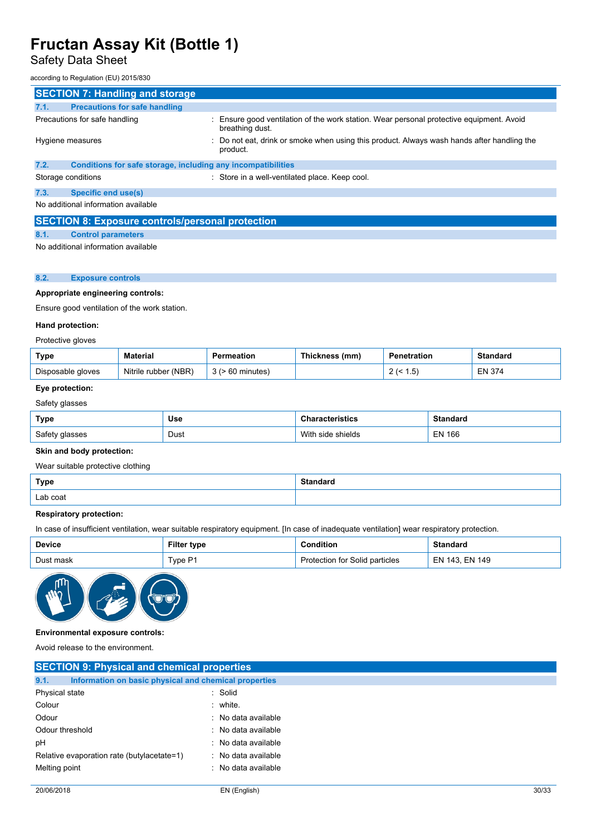## Safety Data Sheet

#### according to Regulation (EU) 2015/830

| <b>SECTION 7: Handling and storage</b>                               |                                                                                                             |
|----------------------------------------------------------------------|-------------------------------------------------------------------------------------------------------------|
| <b>Precautions for safe handling</b><br>7.1.                         |                                                                                                             |
| Precautions for safe handling                                        | : Ensure good ventilation of the work station. Wear personal protective equipment. Avoid<br>breathing dust. |
| Hygiene measures                                                     | : Do not eat, drink or smoke when using this product. Always wash hands after handling the<br>product.      |
| Conditions for safe storage, including any incompatibilities<br>7.2. |                                                                                                             |
| Storage conditions                                                   | : Store in a well-ventilated place. Keep cool.                                                              |
| <b>Specific end use(s)</b><br>7.3.                                   |                                                                                                             |
| No additional information available                                  |                                                                                                             |
| <b>SECTION 8: Exposure controls/personal protection</b>              |                                                                                                             |
| 8.1.<br><b>Control parameters</b>                                    |                                                                                                             |
| No additional information available                                  |                                                                                                             |

## No additional information available

## **8.2. Exposure controls**

## **Appropriate engineering controls:**

Ensure good ventilation of the work station.

## **Hand protection:**

| Type              | Material                | Permeation | Thickness (mm) | Penetration | Standard |
|-------------------|-------------------------|------------|----------------|-------------|----------|
| Disposable gloves | (NBR)<br>Nitrile rubber | minutes    |                | 5. ا        | EN 374   |

## **Eye protection:**

Safety glasses

| Type           | Use  | racterístics   | Standard      |
|----------------|------|----------------|---------------|
| Safety glasses | Dust | With           | <b>EN 166</b> |
|                |      | ı side shields |               |

## **Skin and body protection:**

## Wear suitable protective clothing

| <b>Type</b> | Standard<br>. |
|-------------|---------------|
| Lab coat    |               |

### **Respiratory protection:**

In case of insufficient ventilation, wear suitable respiratory equipment. [In case of inadequate ventilation] wear respiratory protection.

| <b>Device</b> | Filter type | Condition                      | <b>Standard</b> |
|---------------|-------------|--------------------------------|-----------------|
| Dust mask     | TypeP1      | Protection for Solid particles | EN 143. EN 149  |



### **Environmental exposure controls:**

Avoid release to the environment.

| <b>SECTION 9: Physical and chemical properties</b>            |                     |       |
|---------------------------------------------------------------|---------------------|-------|
| 9.1.<br>Information on basic physical and chemical properties |                     |       |
| Physical state                                                | : Solid             |       |
| Colour                                                        | : white.            |       |
| Odour                                                         | : No data available |       |
| Odour threshold                                               | : No data available |       |
| рH                                                            | : No data available |       |
| Relative evaporation rate (butylacetate=1)                    | : No data available |       |
| Melting point                                                 | : No data available |       |
|                                                               |                     |       |
| 20/06/2018                                                    | EN (English)        | 30/33 |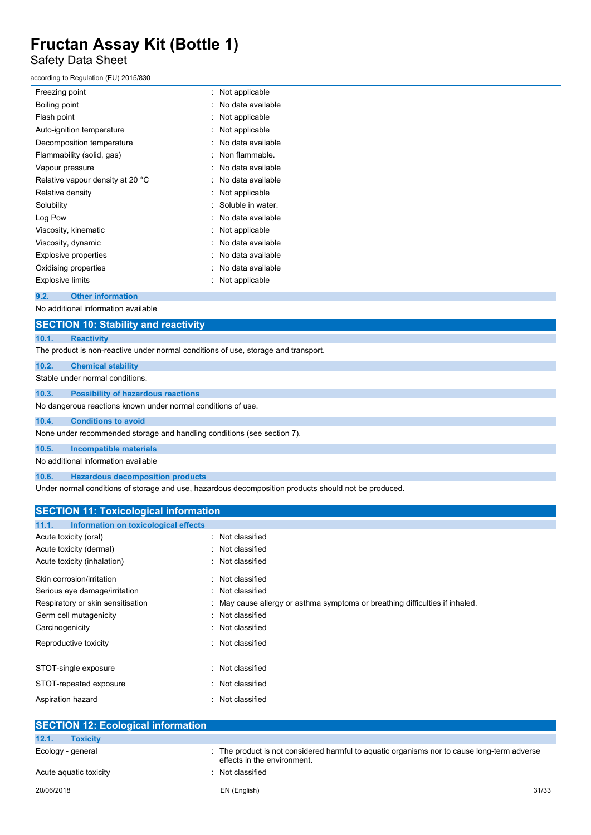## Safety Data Sheet

## according to Regulation (EU) 2015/830

| Freezing point                   | Not applicable    |
|----------------------------------|-------------------|
| Boiling point                    | No data available |
| Flash point                      | Not applicable    |
| Auto-ignition temperature        | Not applicable    |
| Decomposition temperature        | No data available |
| Flammability (solid, gas)        | Non flammable     |
| Vapour pressure                  | No data available |
| Relative vapour density at 20 °C | No data available |
| Relative density                 | Not applicable    |
| Solubility                       | Soluble in water  |
| Log Pow                          | No data available |
| Viscosity, kinematic             | Not applicable    |
| Viscosity, dynamic               | No data available |
| <b>Explosive properties</b>      | No data available |
| Oxidising properties             | No data available |
| Explosive limits                 | Not applicable    |

## **9.2. Other information**

No additional information available

|       | <b>SECTION 10: Stability and reactivity</b>                                        |
|-------|------------------------------------------------------------------------------------|
| 10.1. | <b>Reactivity</b>                                                                  |
|       | The product is non-reactive under normal conditions of use, storage and transport. |
| 10.2. | <b>Chemical stability</b>                                                          |
|       | Stable under normal conditions.                                                    |
| 10.3. | <b>Possibility of hazardous reactions</b>                                          |
|       | No dangerous reactions known under normal conditions of use.                       |
| 10.4. | <b>Conditions to avoid</b>                                                         |
|       | None under recommended storage and handling conditions (see section 7).            |
| 10.5. | Incompatible materials                                                             |

## No additional information available

**10.6. Hazardous decomposition products**

Under normal conditions of storage and use, hazardous decomposition products should not be produced.

| <b>SECTION 11: Toxicological information</b>  |                                                                              |
|-----------------------------------------------|------------------------------------------------------------------------------|
| Information on toxicological effects<br>11.1. |                                                                              |
| Acute toxicity (oral)                         | : Not classified                                                             |
| Acute toxicity (dermal)                       | : Not classified                                                             |
| Acute toxicity (inhalation)                   | : Not classified                                                             |
| Skin corrosion/irritation                     | : Not classified                                                             |
| Serious eye damage/irritation                 | : Not classified                                                             |
| Respiratory or skin sensitisation             | : May cause allergy or asthma symptoms or breathing difficulties if inhaled. |
| Germ cell mutagenicity                        | : Not classified                                                             |
| Carcinogenicity                               | : Not classified                                                             |
| Reproductive toxicity                         | : Not classified                                                             |
| STOT-single exposure                          | : Not classified                                                             |
| STOT-repeated exposure                        | : Not classified                                                             |
| Aspiration hazard                             | : Not classified                                                             |

| <b>SECTION 12: Ecological information</b> |                                                                                                                            |       |
|-------------------------------------------|----------------------------------------------------------------------------------------------------------------------------|-------|
| 12.1.<br><b>Toxicity</b>                  |                                                                                                                            |       |
| Ecology - general                         | : The product is not considered harmful to aquatic organisms nor to cause long-term adverse<br>effects in the environment. |       |
| Acute aquatic toxicity                    | Not classified                                                                                                             |       |
| 20/06/2018                                | EN (English)                                                                                                               | 31/33 |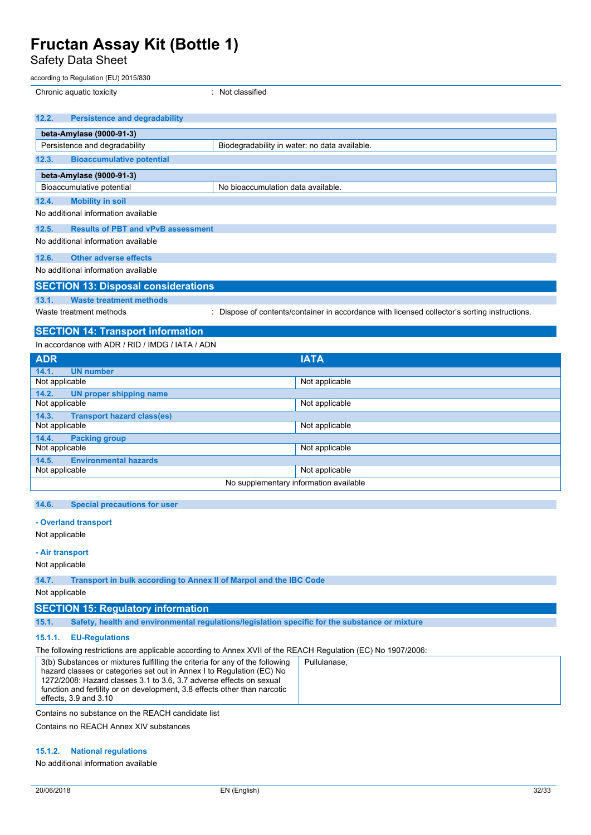Bioaccumulative potential example and No bioaccumulation data available.

Safety Data Sheet

### according to Regulation (EU) 2015/830

**12.3. Bioaccumulative potential**

**beta-Amylase (9000-91-3)**

| Chronic aquatic toxicity      |                                               | $\therefore$ Not classified                   |
|-------------------------------|-----------------------------------------------|-----------------------------------------------|
|                               |                                               |                                               |
|                               | 12.2.<br><b>Persistence and degradability</b> |                                               |
| beta-Amylase (9000-91-3)      |                                               |                                               |
| Persistence and degradability |                                               | Biodegradability in water: no data available. |

| 12.5.                | <b>Results of PBT and vPvB assessment</b>        |                                                                                               |  |
|----------------------|--------------------------------------------------|-----------------------------------------------------------------------------------------------|--|
|                      | No additional information available              |                                                                                               |  |
|                      |                                                  |                                                                                               |  |
|                      | 12.6. Other adverse effects                      |                                                                                               |  |
|                      | No additional information available              |                                                                                               |  |
|                      |                                                  |                                                                                               |  |
|                      | <b>SECTION 13: Disposal considerations</b>       |                                                                                               |  |
| 13.1.                | <b>Waste treatment methods</b>                   |                                                                                               |  |
|                      | Waste treatment methods                          | : Dispose of contents/container in accordance with licensed collector's sorting instructions. |  |
|                      |                                                  |                                                                                               |  |
|                      | <b>SECTION 14: Transport information</b>         |                                                                                               |  |
|                      |                                                  |                                                                                               |  |
|                      | In accordance with ADR / RID / IMDG / IATA / ADN |                                                                                               |  |
| $\sim$ $\sim$ $\sim$ |                                                  | . . <del>.</del> .                                                                            |  |

| <b>ADR</b>                                 | <b>IATA</b>    |  |
|--------------------------------------------|----------------|--|
| <b>UN</b> number<br>14.1.                  |                |  |
| Not applicable                             | Not applicable |  |
| 14.2.<br><b>UN proper shipping name</b>    |                |  |
| Not applicable                             | Not applicable |  |
| <b>Transport hazard class(es)</b><br>14.3. |                |  |
| Not applicable                             | Not applicable |  |
| 14.4.<br><b>Packing group</b>              |                |  |
| Not applicable                             | Not applicable |  |
| <b>Environmental hazards</b><br>14.5.      |                |  |
| Not applicable                             | Not applicable |  |
| No supplementary information available     |                |  |

## **14.6. Special precautions for user**

## **- Overland transport**

Not applicable

## **- Air transport**

Not applicable

| 14.7. |  | Transport in bulk according to Annex II of Marpol and the IBC Code |  |
|-------|--|--------------------------------------------------------------------|--|

Not applicable

## **SECTION 15: Regulatory information**

**15.1. Safety, health and environmental regulations/legislation specific for the substance or mixture**

## **15.1.1. EU-Regulations**

The following restrictions are applicable according to Annex XVII of the REACH Regulation (EC) No 1907/2006:

| 3(b) Substances or mixtures fulfilling the criteria for any of the following | Pullulanase. |
|------------------------------------------------------------------------------|--------------|
| hazard classes or categories set out in Annex I to Regulation (EC) No        |              |
| 1272/2008: Hazard classes 3.1 to 3.6, 3.7 adverse effects on sexual          |              |
| function and fertility or on development, 3.8 effects other than narcotic    |              |
| effects, 3.9 and 3.10                                                        |              |
|                                                                              |              |

Contains no substance on the REACH candidate list

Contains no REACH Annex XIV substances

## **15.1.2. National regulations**

No additional information available